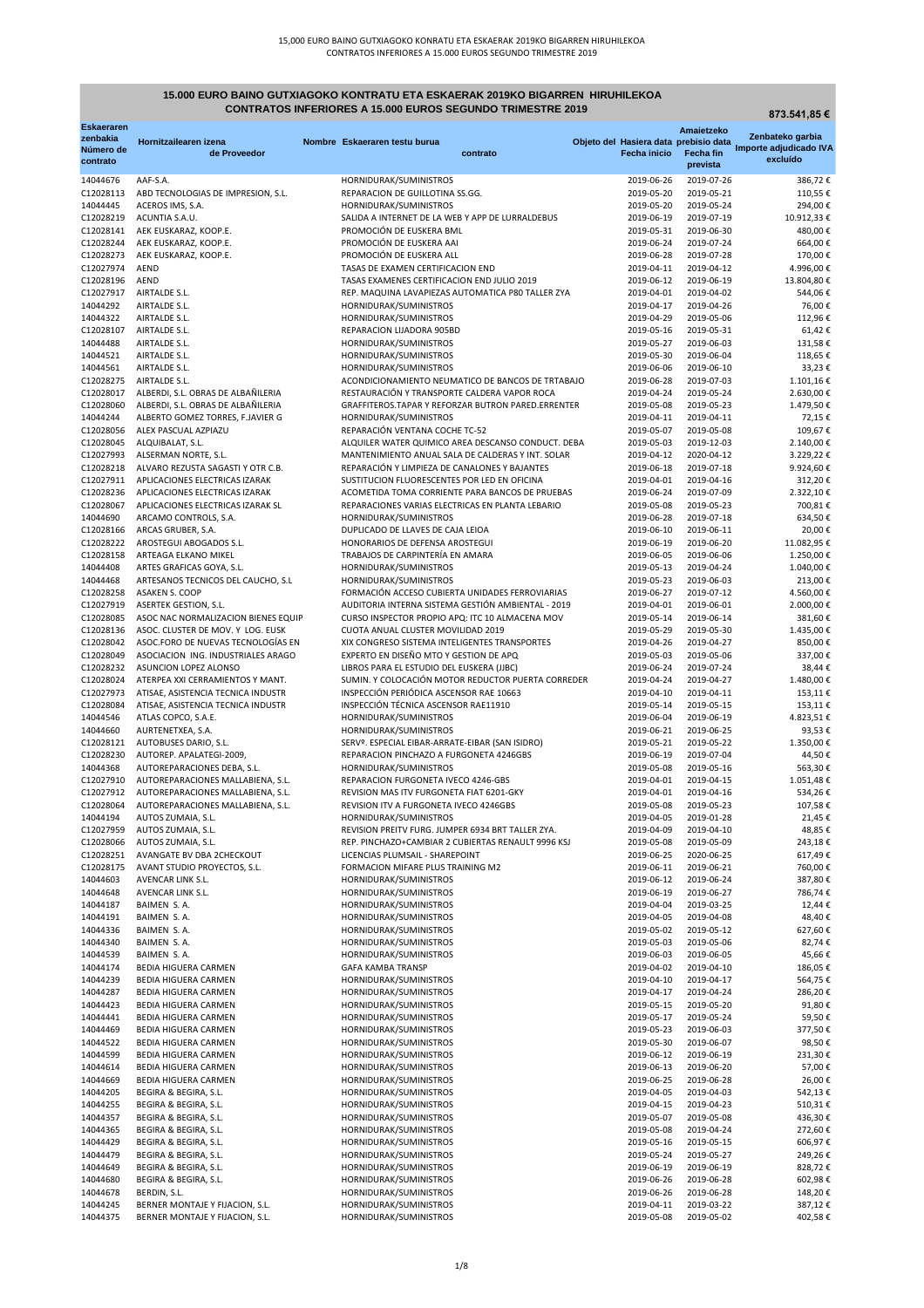**873.541,85 €**

| <b>Eskaeraren</b><br>zenbakia |                                                                  |                                                                                                 |                          | Amaietzeko                            | Zenbateko garbia       |
|-------------------------------|------------------------------------------------------------------|-------------------------------------------------------------------------------------------------|--------------------------|---------------------------------------|------------------------|
| Número de                     | Hornitzailearen izena                                            | Nombre Eskaeraren testu burua                                                                   |                          | Objeto del Hasiera data prebisio data | Importe adjudicado IVA |
| contrato                      | de Proveedor                                                     | contrato                                                                                        | <b>Fecha inicio</b>      | <b>Fecha fin</b><br>prevista          | excluído               |
|                               | AAF-S.A.                                                         |                                                                                                 | 2019-06-26               | 2019-07-26                            | 386,72€                |
| 14044676<br>C12028113         | ABD TECNOLOGIAS DE IMPRESION, S.L.                               | HORNIDURAK/SUMINISTROS<br>REPARACION DE GUILLOTINA SS.GG.                                       | 2019-05-20               | 2019-05-21                            | 110,55€                |
| 14044445                      | ACEROS IMS, S.A.                                                 | HORNIDURAK/SUMINISTROS                                                                          | 2019-05-20               | 2019-05-24                            | 294,00€                |
| C12028219                     | ACUNTIA S.A.U.                                                   | SALIDA A INTERNET DE LA WEB Y APP DE LURRALDEBUS                                                | 2019-06-19               | 2019-07-19                            | 10.912,33 €            |
| C12028141                     | AEK EUSKARAZ, KOOP.E.                                            | PROMOCIÓN DE EUSKERA BML                                                                        | 2019-05-31               | 2019-06-30                            | 480,00€                |
| C12028244                     | AEK EUSKARAZ, KOOP.E.                                            | PROMOCIÓN DE EUSKERA AAI                                                                        | 2019-06-24               | 2019-07-24                            | 664,00€                |
| C12028273                     | AEK EUSKARAZ, KOOP.E.                                            | PROMOCIÓN DE EUSKERA ALL                                                                        | 2019-06-28               | 2019-07-28                            | 170,00€                |
| C12027974                     | <b>AEND</b>                                                      | TASAS DE EXAMEN CERTIFICACION END                                                               | 2019-04-11               | 2019-04-12                            | 4.996,00€              |
| C12028196                     | AEND                                                             | TASAS EXAMENES CERTIFICACION END JULIO 2019                                                     | 2019-06-12               | 2019-06-19                            | 13.804,80€             |
| C12027917                     | AIRTALDE S.L.                                                    | REP. MAQUINA LAVAPIEZAS AUTOMATICA P80 TALLER ZYA                                               | 2019-04-01               | 2019-04-02                            | 544,06€                |
| 14044292                      | AIRTALDE S.L.                                                    | HORNIDURAK/SUMINISTROS                                                                          | 2019-04-17               | 2019-04-26                            | 76,00€                 |
| 14044322                      | <b>AIRTALDE S.L.</b>                                             | HORNIDURAK/SUMINISTROS                                                                          | 2019-04-29               | 2019-05-06                            | 112,96€                |
| C12028107                     | AIRTALDE S.L.                                                    | REPARACION LIJADORA 905BD                                                                       | 2019-05-16               | 2019-05-31                            | 61,42€                 |
| 14044488                      | AIRTALDE S.L.                                                    | HORNIDURAK/SUMINISTROS                                                                          | 2019-05-27               | 2019-06-03                            | 131,58€                |
| 14044521                      | AIRTALDE S.L.                                                    | HORNIDURAK/SUMINISTROS                                                                          | 2019-05-30               | 2019-06-04                            | 118,65€                |
| 14044561                      | AIRTALDE S.L.                                                    | HORNIDURAK/SUMINISTROS                                                                          | 2019-06-06               | 2019-06-10                            | 33,23€                 |
| C12028275                     | AIRTALDE S.L.                                                    | ACONDICIONAMIENTO NEUMATICO DE BANCOS DE TRTABAJO                                               | 2019-06-28               | 2019-07-03                            | 1.101,16€              |
| C12028017                     | ALBERDI, S.L. OBRAS DE ALBAÑILERIA                               | RESTAURACIÓN Y TRANSPORTE CALDERA VAPOR ROCA                                                    | 2019-04-24               | 2019-05-24                            | 2.630,00 €             |
| C12028060                     | ALBERDI, S.L. OBRAS DE ALBAÑILERIA                               | GRAFFITEROS.TAPAR Y REFORZAR BUTRON PARED.ERRENTER                                              | 2019-05-08               | 2019-05-23                            | 1.479,50€              |
| 14044244                      | ALBERTO GOMEZ TORRES, F.JAVIER G                                 | HORNIDURAK/SUMINISTROS                                                                          | 2019-04-11               | 2019-04-11                            | 72,15€                 |
| C12028056                     | ALEX PASCUAL AZPIAZU                                             | REPARACIÓN VENTANA COCHE TC-52                                                                  | 2019-05-07               | 2019-05-08                            | 109,67€                |
| C12028045                     | ALQUIBALAT, S.L.                                                 | ALQUILER WATER QUIMICO AREA DESCANSO CONDUCT. DEBA                                              | 2019-05-03               | 2019-12-03                            | 2.140,00 €             |
| C12027993                     | ALSERMAN NORTE, S.L.                                             | MANTENIMIENTO ANUAL SALA DE CALDERAS Y INT. SOLAR                                               | 2019-04-12               | 2020-04-12                            | 3.229,22€              |
| C12028218                     | ALVARO REZUSTA SAGASTI Y OTR C.B.                                | REPARACIÓN Y LIMPIEZA DE CANALONES Y BAJANTES                                                   | 2019-06-18<br>2019-04-01 | 2019-07-18                            | 9.924,60€              |
| C12027911<br>C12028236        | APLICACIONES ELECTRICAS IZARAK<br>APLICACIONES ELECTRICAS IZARAK | SUSTITUCION FLUORESCENTES POR LED EN OFICINA<br>ACOMETIDA TOMA CORRIENTE PARA BANCOS DE PRUEBAS | 2019-06-24               | 2019-04-16<br>2019-07-09              | 312,20€<br>2.322,10€   |
| C12028067                     | APLICACIONES ELECTRICAS IZARAK SL                                | REPARACIONES VARIAS ELECTRICAS EN PLANTA LEBARIO                                                | 2019-05-08               | 2019-05-23                            | 700,81€                |
| 14044690                      | ARCAMO CONTROLS, S.A.                                            | HORNIDURAK/SUMINISTROS                                                                          | 2019-06-28               | 2019-07-18                            | 634,50€                |
| C12028166                     | ARCAS GRUBER, S.A.                                               | DUPLICADO DE LLAVES DE CAJA LEIOA                                                               | 2019-06-10               | 2019-06-11                            | 20,00€                 |
| C12028222                     | AROSTEGUI ABOGADOS S.L.                                          | HONORARIOS DE DEFENSA AROSTEGUI                                                                 | 2019-06-19               | 2019-06-20                            | 11.082,95€             |
| C12028158                     | ARTEAGA ELKANO MIKEL                                             | TRABAJOS DE CARPINTERÍA EN AMARA                                                                | 2019-06-05               | 2019-06-06                            | 1.250,00€              |
| 14044408                      | ARTES GRAFICAS GOYA, S.L.                                        | HORNIDURAK/SUMINISTROS                                                                          | 2019-05-13               | 2019-04-24                            | 1.040,00 €             |
| 14044468                      | ARTESANOS TECNICOS DEL CAUCHO, S.L.                              | HORNIDURAK/SUMINISTROS                                                                          | 2019-05-23               | 2019-06-03                            | 213,00€                |
| C12028258                     | ASAKEN S. COOP                                                   | FORMACIÓN ACCESO CUBIERTA UNIDADES FERROVIARIAS                                                 | 2019-06-27               | 2019-07-12                            | 4.560,00 €             |
| C12027919                     | <b>ASERTEK GESTION, S.L.</b>                                     | AUDITORIA INTERNA SISTEMA GESTIÓN AMBIENTAL - 2019                                              | 2019-04-01               | 2019-06-01                            | 2.000,00 €             |
| C12028085                     | ASOC NAC NORMALIZACION BIENES EQUIP                              | CURSO INSPECTOR PROPIO APQ: ITC 10 ALMACENA MOV                                                 | 2019-05-14               | 2019-06-14                            | 381,60€                |
| C12028136                     | ASOC. CLUSTER DE MOV. Y LOG. EUSK                                | CUOTA ANUAL CLUSTER MOVILIDAD 2019                                                              | 2019-05-29               | 2019-05-30                            | 1.435,00 €             |
| C12028042                     | ASOC.FORO DE NUEVAS TECNOLOGÍAS EN                               | XIX CONGRESO SISTEMA INTELIGENTES TRANSPORTES                                                   | 2019-04-26               | 2019-04-27                            | 850,00€                |
| C12028049                     | ASOCIACION ING. INDUSTRIALES ARAGO                               | EXPERTO EN DISEÑO MTO Y GESTION DE APQ                                                          | 2019-05-03               | 2019-05-06                            | 337,00 €               |
| C12028232                     | ASUNCION LOPEZ ALONSO                                            | LIBROS PARA EL ESTUDIO DEL EUSKERA (JJBC)                                                       | 2019-06-24               | 2019-07-24                            | 38,44 €                |
| C12028024                     | ATERPEA XXI CERRAMIENTOS Y MANT.                                 | SUMIN. Y COLOCACIÓN MOTOR REDUCTOR PUERTA CORREDER                                              | 2019-04-24               | 2019-04-27                            | 1.480,00€              |
| C12027973                     | ATISAE, ASISTENCIA TECNICA INDUSTR                               | INSPECCIÓN PERIÓDICA ASCENSOR RAE 10663                                                         | 2019-04-10               | 2019-04-11                            | 153,11€                |
| C12028084                     | ATISAE, ASISTENCIA TECNICA INDUSTR                               | INSPECCIÓN TÉCNICA ASCENSOR RAE11910                                                            | 2019-05-14               | 2019-05-15                            | 153,11€                |
| 14044546                      | ATLAS COPCO, S.A.E.                                              | HORNIDURAK/SUMINISTROS                                                                          | 2019-06-04               | 2019-06-19                            | 4.823,51€              |
| 14044660                      | AURTENETXEA, S.A.                                                | HORNIDURAK/SUMINISTROS                                                                          | 2019-06-21               | 2019-06-25                            | 93,53€                 |
| C12028121                     | AUTOBUSES DARIO, S.L.                                            | SERVº. ESPECIAL EIBAR-ARRATE-EIBAR (SAN ISIDRO)                                                 | 2019-05-21               | 2019-05-22                            | 1.350,00€              |
| C12028230                     | AUTOREP. APALATEGI-2009,                                         | REPARACION PINCHAZO A FURGONETA 4246GBS                                                         | 2019-06-19               | 2019-07-04                            | 44,50 €                |
| 14044368                      | AUTOREPARACIONES DEBA, S.L.                                      | HORNIDURAK/SUMINISTROS                                                                          | 2019-05-08               | 2019-05-16                            | 563,30€                |
| C12027910                     | AUTOREPARACIONES MALLABIENA, S.L.                                | REPARACION FURGONETA IVECO 4246-GBS                                                             | 2019-04-01               | 2019-04-15                            | 1.051,48€              |
| C12027912                     | AUTOREPARACIONES MALLABIENA, S.L.                                | REVISION MAS ITV FURGONETA FIAT 6201-GKY                                                        | 2019-04-01               | 2019-04-16                            | 534,26€                |
| C12028064                     | AUTOREPARACIONES MALLABIENA, S.L.                                | REVISION ITV A FURGONETA IVECO 4246GBS                                                          | 2019-05-08               | 2019-05-23                            | 107,58€                |
| 14044194                      | AUTOS ZUMAIA, S.L.                                               | HORNIDURAK/SUMINISTROS                                                                          | 2019-04-05               | 2019-01-28                            | 21,45€                 |
| C12027959                     | AUTOS ZUMAIA, S.L.                                               | REVISION PREITV FURG. JUMPER 6934 BRT TALLER ZYA.                                               | 2019-04-09               | 2019-04-10                            | 48,85€                 |
| C12028066                     | AUTOS ZUMAIA, S.L.                                               | REP. PINCHAZO+CAMBIAR 2 CUBIERTAS RENAULT 9996 KSJ                                              | 2019-05-08<br>2019-06-25 | 2019-05-09                            | 243,18€                |
| C12028251<br>C12028175        | AVANGATE BV DBA 2CHECKOUT                                        | LICENCIAS PLUMSAIL - SHAREPOINT<br>FORMACION MIFARE PLUS TRAINING M2                            | 2019-06-11               | 2020-06-25<br>2019-06-21              | 617,49€                |
| 14044603                      | AVANT STUDIO PROYECTOS, S.L.<br>AVENCAR LINK S.L.                | HORNIDURAK/SUMINISTROS                                                                          | 2019-06-12               | 2019-06-24                            | 760,00€<br>387,80€     |
| 14044648                      | AVENCAR LINK S.L.                                                | HORNIDURAK/SUMINISTROS                                                                          | 2019-06-19               | 2019-06-27                            | 786,74€                |
| 14044187                      | BAIMEN S.A.                                                      | HORNIDURAK/SUMINISTROS                                                                          | 2019-04-04               | 2019-03-25                            | 12,44 €                |
| 14044191                      | BAIMEN S.A.                                                      | HORNIDURAK/SUMINISTROS                                                                          | 2019-04-05               | 2019-04-08                            | 48,40€                 |
| 14044336                      | BAIMEN S.A.                                                      | HORNIDURAK/SUMINISTROS                                                                          | 2019-05-02               | 2019-05-12                            | 627,60€                |
| 14044340                      | BAIMEN S.A.                                                      | HORNIDURAK/SUMINISTROS                                                                          | 2019-05-03               | 2019-05-06                            | 82,74€                 |
| 14044539                      | BAIMEN S.A.                                                      | HORNIDURAK/SUMINISTROS                                                                          | 2019-06-03               | 2019-06-05                            | 45,66€                 |
| 14044174                      | BEDIA HIGUERA CARMEN                                             | <b>GAFA KAMBA TRANSP</b>                                                                        | 2019-04-02               | 2019-04-10                            | 186,05€                |
| 14044239                      | BEDIA HIGUERA CARMEN                                             | HORNIDURAK/SUMINISTROS                                                                          | 2019-04-10               | 2019-04-17                            | 564,75€                |
| 14044287                      | BEDIA HIGUERA CARMEN                                             | HORNIDURAK/SUMINISTROS                                                                          | 2019-04-17               | 2019-04-24                            | 286,20€                |
| 14044423                      | <b>BEDIA HIGUERA CARMEN</b>                                      | HORNIDURAK/SUMINISTROS                                                                          | 2019-05-15               | 2019-05-20                            | 91,80€                 |
| 14044441                      | BEDIA HIGUERA CARMEN                                             | HORNIDURAK/SUMINISTROS                                                                          | 2019-05-17               | 2019-05-24                            | 59,50€                 |
| 14044469                      | BEDIA HIGUERA CARMEN                                             | HORNIDURAK/SUMINISTROS                                                                          | 2019-05-23               | 2019-06-03                            | 377,50€                |
| 14044522                      | BEDIA HIGUERA CARMEN                                             | HORNIDURAK/SUMINISTROS                                                                          | 2019-05-30               | 2019-06-07                            | 98,50€                 |
| 14044599                      | BEDIA HIGUERA CARMEN                                             | HORNIDURAK/SUMINISTROS                                                                          | 2019-06-12               | 2019-06-19                            | 231,30€                |
| 14044614                      | <b>BEDIA HIGUERA CARMEN</b>                                      | HORNIDURAK/SUMINISTROS                                                                          | 2019-06-13               | 2019-06-20                            | 57,00€                 |
| 14044669                      | BEDIA HIGUERA CARMEN                                             | HORNIDURAK/SUMINISTROS                                                                          | 2019-06-25               | 2019-06-28                            | 26,00€                 |
| 14044205                      | BEGIRA & BEGIRA, S.L.                                            | HORNIDURAK/SUMINISTROS                                                                          | 2019-04-05               | 2019-04-03                            | 542,13€                |
| 14044255                      | BEGIRA & BEGIRA, S.L.                                            | HORNIDURAK/SUMINISTROS                                                                          | 2019-04-15               | 2019-04-23                            | 510,31€                |
| 14044357                      | BEGIRA & BEGIRA, S.L.                                            | HORNIDURAK/SUMINISTROS                                                                          | 2019-05-07               | 2019-05-08                            | 436,30€                |
| 14044365                      | BEGIRA & BEGIRA, S.L.                                            | HORNIDURAK/SUMINISTROS                                                                          | 2019-05-08               | 2019-04-24                            | 272,60€                |
| 14044429                      | BEGIRA & BEGIRA, S.L.                                            | HORNIDURAK/SUMINISTROS                                                                          | 2019-05-16               | 2019-05-15                            | 606,97€                |
| 14044479                      | BEGIRA & BEGIRA, S.L.                                            | HORNIDURAK/SUMINISTROS                                                                          | 2019-05-24               | 2019-05-27                            | 249,26€                |
| 14044649                      | BEGIRA & BEGIRA, S.L.                                            | HORNIDURAK/SUMINISTROS                                                                          | 2019-06-19               | 2019-06-19                            | 828,72€                |
| 14044680                      | BEGIRA & BEGIRA, S.L.                                            | HORNIDURAK/SUMINISTROS                                                                          | 2019-06-26               | 2019-06-28                            | 602,98€                |
| 14044678                      | BERDIN, S.L.                                                     | HORNIDURAK/SUMINISTROS                                                                          | 2019-06-26               | 2019-06-28                            | 148,20€                |
| 14044245                      | BERNER MONTAJE Y FIJACION, S.L.                                  | HORNIDURAK/SUMINISTROS                                                                          | 2019-04-11               | 2019-03-22                            | 387,12€                |
| 14044375                      | BERNER MONTAJE Y FIJACION, S.L.                                  | HORNIDURAK/SUMINISTROS                                                                          | 2019-05-08               | 2019-05-02                            | 402,58€                |

## **15.000 EURO BAINO GUTXIAGOKO KONTRATU ETA ESKAERAK 2019KO BIGARREN HIRUHILEKOA CONTRATOS INFERIORES A 15.000 EUROS SEGUNDO TRIMESTRE 2019**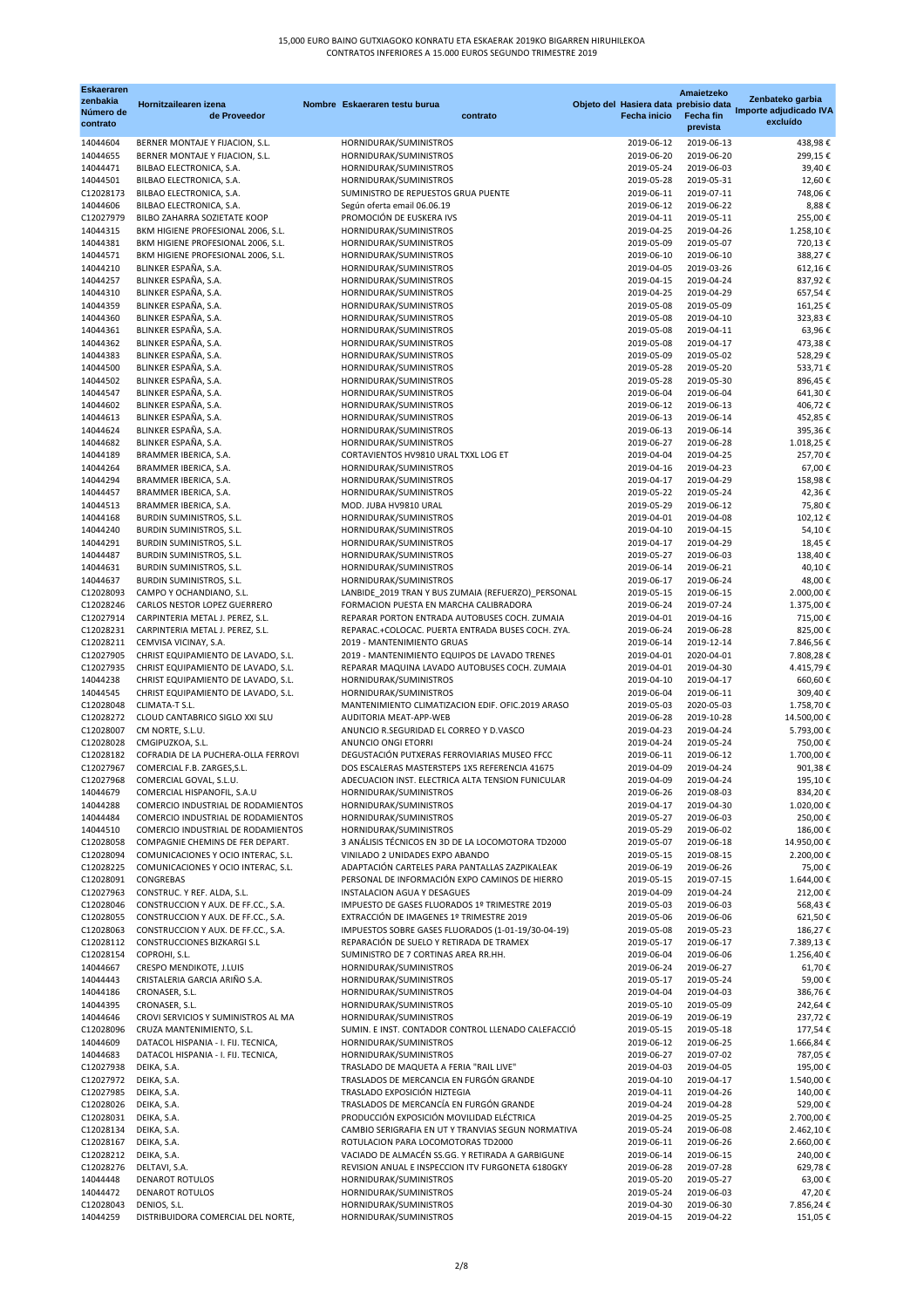## 15,000 EURO BAINO GUTXIAGOKO KONRATU ETA ESKAERAK 2019KO BIGARREN HIRUHILEKOA CONTRATOS INFERIORES A 15.000 EUROS SEGUNDO TRIMESTRE 2019

| <b>Eskaeraren</b><br>zenbakia<br>Número de<br>contrato | Hornitzailearen izena<br>de Proveedor                                     | Nombre Eskaeraren testu burua                                                                  | contrato | <b>Fecha inicio</b>      | Amaietzeko<br>Objeto del Hasiera data prebisio data<br><b>Fecha fin</b><br>prevista | Zenbateko garbia<br>Importe adjudicado IVA<br>excluído |
|--------------------------------------------------------|---------------------------------------------------------------------------|------------------------------------------------------------------------------------------------|----------|--------------------------|-------------------------------------------------------------------------------------|--------------------------------------------------------|
| 14044604                                               | BERNER MONTAJE Y FIJACION, S.L.                                           | HORNIDURAK/SUMINISTROS                                                                         |          | 2019-06-12               | 2019-06-13                                                                          | 438,98€                                                |
| 14044655                                               | BERNER MONTAJE Y FIJACION, S.L.                                           | HORNIDURAK/SUMINISTROS                                                                         |          | 2019-06-20               | 2019-06-20                                                                          | 299,15€                                                |
| 14044471                                               | BILBAO ELECTRONICA, S.A.                                                  | HORNIDURAK/SUMINISTROS                                                                         |          | 2019-05-24               | 2019-06-03                                                                          | 39,40€                                                 |
| 14044501                                               | BILBAO ELECTRONICA, S.A.                                                  | HORNIDURAK/SUMINISTROS                                                                         |          | 2019-05-28               | 2019-05-31                                                                          | 12,60€                                                 |
| C12028173                                              | BILBAO ELECTRONICA, S.A.                                                  | SUMINISTRO DE REPUESTOS GRUA PUENTE                                                            |          | 2019-06-11               | 2019-07-11                                                                          | 748,06€                                                |
| 14044606                                               | BILBAO ELECTRONICA, S.A.                                                  | Según oferta email 06.06.19<br>PROMOCIÓN DE EUSKERA IVS                                        |          | 2019-06-12               | 2019-06-22                                                                          | 8,88€                                                  |
| C12027979<br>14044315                                  | BILBO ZAHARRA SOZIETATE KOOP<br>BKM HIGIENE PROFESIONAL 2006, S.L.        | HORNIDURAK/SUMINISTROS                                                                         |          | 2019-04-11<br>2019-04-25 | 2019-05-11<br>2019-04-26                                                            | 255,00€<br>1.258,10€                                   |
| 14044381                                               | BKM HIGIENE PROFESIONAL 2006, S.L.                                        | HORNIDURAK/SUMINISTROS                                                                         |          | 2019-05-09               | 2019-05-07                                                                          | 720,13€                                                |
| 14044571                                               | BKM HIGIENE PROFESIONAL 2006, S.L.                                        | HORNIDURAK/SUMINISTROS                                                                         |          | 2019-06-10               | 2019-06-10                                                                          | 388,27€                                                |
| 14044210                                               | BLINKER ESPAÑA, S.A.                                                      | HORNIDURAK/SUMINISTROS                                                                         |          | 2019-04-05               | 2019-03-26                                                                          | 612,16€                                                |
| 14044257                                               | BLINKER ESPAÑA, S.A.                                                      | HORNIDURAK/SUMINISTROS                                                                         |          | 2019-04-15               | 2019-04-24                                                                          | 837,92€                                                |
| 14044310                                               | BLINKER ESPAÑA, S.A.                                                      | HORNIDURAK/SUMINISTROS                                                                         |          | 2019-04-25               | 2019-04-29                                                                          | 657,54€                                                |
| 14044359                                               | BLINKER ESPAÑA, S.A.                                                      | HORNIDURAK/SUMINISTROS                                                                         |          | 2019-05-08               | 2019-05-09                                                                          | 161,25€                                                |
| 14044360<br>14044361                                   | BLINKER ESPAÑA, S.A.<br>BLINKER ESPAÑA, S.A.                              | HORNIDURAK/SUMINISTROS<br>HORNIDURAK/SUMINISTROS                                               |          | 2019-05-08<br>2019-05-08 | 2019-04-10<br>2019-04-11                                                            | 323,83€<br>63,96€                                      |
| 14044362                                               | BLINKER ESPAÑA, S.A.                                                      | HORNIDURAK/SUMINISTROS                                                                         |          | 2019-05-08               | 2019-04-17                                                                          | 473,38€                                                |
| 14044383                                               | BLINKER ESPAÑA, S.A.                                                      | HORNIDURAK/SUMINISTROS                                                                         |          | 2019-05-09               | 2019-05-02                                                                          | 528,29€                                                |
| 14044500                                               | BLINKER ESPAÑA, S.A.                                                      | HORNIDURAK/SUMINISTROS                                                                         |          | 2019-05-28               | 2019-05-20                                                                          | 533,71€                                                |
| 14044502                                               | BLINKER ESPAÑA, S.A.                                                      | HORNIDURAK/SUMINISTROS                                                                         |          | 2019-05-28               | 2019-05-30                                                                          | 896,45€                                                |
| 14044547                                               | BLINKER ESPAÑA, S.A.                                                      | HORNIDURAK/SUMINISTROS                                                                         |          | 2019-06-04               | 2019-06-04                                                                          | 641,30€                                                |
| 14044602                                               | BLINKER ESPAÑA, S.A.                                                      | HORNIDURAK/SUMINISTROS                                                                         |          | 2019-06-12               | 2019-06-13                                                                          | 406,72€                                                |
| 14044613<br>14044624                                   | BLINKER ESPAÑA, S.A.<br>BLINKER ESPAÑA, S.A.                              | HORNIDURAK/SUMINISTROS                                                                         |          | 2019-06-13<br>2019-06-13 | 2019-06-14<br>2019-06-14                                                            | 452,85€                                                |
| 14044682                                               | BLINKER ESPAÑA, S.A.                                                      | HORNIDURAK/SUMINISTROS<br>HORNIDURAK/SUMINISTROS                                               |          | 2019-06-27               | 2019-06-28                                                                          | 395,36€<br>1.018,25€                                   |
| 14044189                                               | BRAMMER IBERICA, S.A.                                                     | CORTAVIENTOS HV9810 URAL TXXL LOG ET                                                           |          | 2019-04-04               | 2019-04-25                                                                          | 257,70€                                                |
| 14044264                                               | BRAMMER IBERICA, S.A.                                                     | HORNIDURAK/SUMINISTROS                                                                         |          | 2019-04-16               | 2019-04-23                                                                          | 67,00€                                                 |
| 14044294                                               | BRAMMER IBERICA, S.A.                                                     | HORNIDURAK/SUMINISTROS                                                                         |          | 2019-04-17               | 2019-04-29                                                                          | 158,98€                                                |
| 14044457                                               | BRAMMER IBERICA, S.A.                                                     | HORNIDURAK/SUMINISTROS                                                                         |          | 2019-05-22               | 2019-05-24                                                                          | 42,36€                                                 |
| 14044513                                               | BRAMMER IBERICA, S.A.                                                     | MOD. JUBA HV9810 URAL                                                                          |          | 2019-05-29               | 2019-06-12                                                                          | 75,80€                                                 |
| 14044168                                               | <b>BURDIN SUMINISTROS, S.L.</b>                                           | HORNIDURAK/SUMINISTROS                                                                         |          | 2019-04-01               | 2019-04-08                                                                          | 102,12€                                                |
| 14044240                                               | <b>BURDIN SUMINISTROS, S.L.</b>                                           | HORNIDURAK/SUMINISTROS                                                                         |          | 2019-04-10               | 2019-04-15<br>2019-04-29                                                            | 54,10€                                                 |
| 14044291<br>14044487                                   | <b>BURDIN SUMINISTROS, S.L.</b><br><b>BURDIN SUMINISTROS, S.L.</b>        | HORNIDURAK/SUMINISTROS<br>HORNIDURAK/SUMINISTROS                                               |          | 2019-04-17<br>2019-05-27 | 2019-06-03                                                                          | 18,45€<br>138,40€                                      |
| 14044631                                               | <b>BURDIN SUMINISTROS, S.L.</b>                                           | HORNIDURAK/SUMINISTROS                                                                         |          | 2019-06-14               | 2019-06-21                                                                          | 40,10€                                                 |
| 14044637                                               | <b>BURDIN SUMINISTROS, S.L.</b>                                           | HORNIDURAK/SUMINISTROS                                                                         |          | 2019-06-17               | 2019-06-24                                                                          | 48,00€                                                 |
| C12028093                                              | CAMPO Y OCHANDIANO, S.L.                                                  | LANBIDE_2019 TRAN Y BUS ZUMAIA (REFUERZO)_PERSONAL                                             |          | 2019-05-15               | 2019-06-15                                                                          | 2.000,00 €                                             |
| C12028246                                              | CARLOS NESTOR LOPEZ GUERRERO                                              | FORMACION PUESTA EN MARCHA CALIBRADORA                                                         |          | 2019-06-24               | 2019-07-24                                                                          | 1.375,00 €                                             |
| C12027914                                              | CARPINTERIA METAL J. PEREZ, S.L.                                          | REPARAR PORTON ENTRADA AUTOBUSES COCH. ZUMAIA                                                  |          | 2019-04-01               | 2019-04-16                                                                          | 715,00€                                                |
| C12028231                                              | CARPINTERIA METAL J. PEREZ, S.L.                                          | REPARAC.+COLOCAC. PUERTA ENTRADA BUSES COCH. ZYA.<br>2019 - MANTENIMIENTO GRUAS                |          | 2019-06-24<br>2019-06-14 | 2019-06-28<br>2019-12-14                                                            | 825,00€                                                |
| C12028211<br>C12027905                                 | CEMVISA VICINAY, S.A.<br>CHRIST EQUIPAMIENTO DE LAVADO, S.L.              | 2019 - MANTENIMIENTO EQUIPOS DE LAVADO TRENES                                                  |          | 2019-04-01               | 2020-04-01                                                                          | 7.846,56€<br>7.808,28€                                 |
| C12027935                                              | CHRIST EQUIPAMIENTO DE LAVADO, S.L.                                       | REPARAR MAQUINA LAVADO AUTOBUSES COCH. ZUMAIA                                                  |          | 2019-04-01               | 2019-04-30                                                                          | 4.415,79€                                              |
| 14044238                                               | CHRIST EQUIPAMIENTO DE LAVADO, S.L.                                       | HORNIDURAK/SUMINISTROS                                                                         |          | 2019-04-10               | 2019-04-17                                                                          | 660,60€                                                |
| 14044545                                               | CHRIST EQUIPAMIENTO DE LAVADO, S.L.                                       | HORNIDURAK/SUMINISTROS                                                                         |          | 2019-06-04               | 2019-06-11                                                                          | 309,40€                                                |
| C12028048                                              | <b>CLIMATA-T S.L.</b>                                                     | MANTENIMIENTO CLIMATIZACION EDIF. OFIC.2019 ARASO                                              |          | 2019-05-03               | 2020-05-03                                                                          | 1.758,70€                                              |
| C12028272                                              | CLOUD CANTABRICO SIGLO XXI SLU                                            | AUDITORIA MEAT-APP-WEB                                                                         |          | 2019-06-28               | 2019-10-28                                                                          | 14.500,00 €                                            |
| C12028007                                              | CM NORTE, S.L.U.                                                          | ANUNCIO R.SEGURIDAD EL CORREO Y D.VASCO                                                        |          | 2019-04-23               | 2019-04-24                                                                          | 5.793,00 €                                             |
| C12028028<br>C12028182                                 | CMGIPUZKOA, S.L.<br>COFRADIA DE LA PUCHERA-OLLA FERROVI                   | ANUNCIO ONGI ETORRI<br>DEGUSTACIÓN PUTXERAS FERROVIARIAS MUSEO FFCC                            |          | 2019-04-24<br>2019-06-11 | 2019-05-24<br>2019-06-12                                                            | 750,00€<br>1.700,00€                                   |
| C12027967                                              | COMERCIAL F.B. ZARGES, S.L.                                               | DOS ESCALERAS MASTERSTEPS 1X5 REFERENCIA 41675                                                 |          | 2019-04-09               | 2019-04-24                                                                          | 901,38€                                                |
| C12027968                                              | COMERCIAL GOVAL, S.L.U.                                                   | ADECUACION INST. ELECTRICA ALTA TENSION FUNICULAR                                              |          | 2019-04-09               | 2019-04-24                                                                          | 195,10€                                                |
| 14044679                                               | COMERCIAL HISPANOFIL, S.A.U                                               | HORNIDURAK/SUMINISTROS                                                                         |          | 2019-06-26               | 2019-08-03                                                                          | 834,20€                                                |
| 14044288                                               | COMERCIO INDUSTRIAL DE RODAMIENTOS                                        | HORNIDURAK/SUMINISTROS                                                                         |          | 2019-04-17               | 2019-04-30                                                                          | 1.020,00€                                              |
| 14044484                                               | COMERCIO INDUSTRIAL DE RODAMIENTOS                                        | HORNIDURAK/SUMINISTROS                                                                         |          | 2019-05-27               | 2019-06-03                                                                          | 250,00€                                                |
| 14044510                                               | COMERCIO INDUSTRIAL DE RODAMIENTOS                                        | HORNIDURAK/SUMINISTROS<br>3 ANÁLISIS TÉCNICOS EN 3D DE LA LOCOMOTORA TD2000                    |          | 2019-05-29               | 2019-06-02                                                                          | 186,00€                                                |
| C12028058<br>C12028094                                 | COMPAGNIE CHEMINS DE FER DEPART.<br>COMUNICACIONES Y OCIO INTERAC, S.L.   | VINILADO 2 UNIDADES EXPO ABANDO                                                                |          | 2019-05-07<br>2019-05-15 | 2019-06-18<br>2019-08-15                                                            | 14.950,00€<br>2.200,00 €                               |
| C12028225                                              | COMUNICACIONES Y OCIO INTERAC, S.L.                                       | ADAPTACIÓN CARTELES PARA PANTALLAS ZAZPIKALEAK                                                 |          | 2019-06-19               | 2019-06-26                                                                          | 75,00€                                                 |
| C12028091                                              | CONGREBAS                                                                 | PERSONAL DE INFORMACIÓN EXPO CAMINOS DE HIERRO                                                 |          | 2019-05-15               | 2019-07-15                                                                          | 1.644,00 €                                             |
| C12027963                                              | CONSTRUC. Y REF. ALDA, S.L.                                               | <b>INSTALACION AGUA Y DESAGUES</b>                                                             |          | 2019-04-09               | 2019-04-24                                                                          | 212,00€                                                |
| C12028046                                              | CONSTRUCCION Y AUX. DE FF.CC., S.A.                                       | IMPUESTO DE GASES FLUORADOS 1º TRIMESTRE 2019                                                  |          | 2019-05-03               | 2019-06-03                                                                          | 568,43€                                                |
| C12028055                                              | CONSTRUCCION Y AUX. DE FF.CC., S.A.                                       | EXTRACCIÓN DE IMAGENES 1º TRIMESTRE 2019                                                       |          | 2019-05-06               | 2019-06-06                                                                          | 621,50€                                                |
| C12028063<br>C12028112                                 | CONSTRUCCION Y AUX. DE FF.CC., S.A.<br><b>CONSTRUCCIONES BIZKARGI S.L</b> | IMPUESTOS SOBRE GASES FLUORADOS (1-01-19/30-04-19)<br>REPARACIÓN DE SUELO Y RETIRADA DE TRAMEX |          | 2019-05-08<br>2019-05-17 | 2019-05-23<br>2019-06-17                                                            | 186,27€<br>7.389,13€                                   |
| C12028154                                              | COPROHI, S.L.                                                             | SUMINISTRO DE 7 CORTINAS AREA RR.HH.                                                           |          | 2019-06-04               | 2019-06-06                                                                          | 1.256,40€                                              |
| 14044667                                               | <b>CRESPO MENDIKOTE, J.LUIS</b>                                           | HORNIDURAK/SUMINISTROS                                                                         |          | 2019-06-24               | 2019-06-27                                                                          | 61,70€                                                 |
| 14044443                                               | CRISTALERIA GARCIA ARIÑO S.A.                                             | HORNIDURAK/SUMINISTROS                                                                         |          | 2019-05-17               | 2019-05-24                                                                          | 59,00€                                                 |
| 14044186                                               | CRONASER, S.L.                                                            | HORNIDURAK/SUMINISTROS                                                                         |          | 2019-04-04               | 2019-04-03                                                                          | 386,76€                                                |
| 14044395                                               | CRONASER, S.L.                                                            | HORNIDURAK/SUMINISTROS                                                                         |          | 2019-05-10               | 2019-05-09                                                                          | 242,64 €                                               |
| 14044646                                               | CROVI SERVICIOS Y SUMINISTROS AL MA                                       | HORNIDURAK/SUMINISTROS                                                                         |          | 2019-06-19               | 2019-06-19                                                                          | 237,72€                                                |
| C12028096<br>14044609                                  | CRUZA MANTENIMIENTO, S.L.<br>DATACOL HISPANIA - I. FIJ. TECNICA,          | SUMIN. E INST. CONTADOR CONTROL LLENADO CALEFACCIÓ<br>HORNIDURAK/SUMINISTROS                   |          | 2019-05-15<br>2019-06-12 | 2019-05-18<br>2019-06-25                                                            | 177,54€<br>1.666,84€                                   |
| 14044683                                               | DATACOL HISPANIA - I. FIJ. TECNICA,                                       | HORNIDURAK/SUMINISTROS                                                                         |          | 2019-06-27               | 2019-07-02                                                                          | 787,05€                                                |
| C12027938                                              | DEIKA, S.A.                                                               | TRASLADO DE MAQUETA A FERIA "RAIL LIVE"                                                        |          | 2019-04-03               | 2019-04-05                                                                          | 195,00 €                                               |
| C12027972                                              | DEIKA, S.A.                                                               | TRASLADOS DE MERCANCIA EN FURGÓN GRANDE                                                        |          | 2019-04-10               | 2019-04-17                                                                          | 1.540,00€                                              |
| C12027985                                              | DEIKA, S.A.                                                               | TRASLADO EXPOSICIÓN HIZTEGIA                                                                   |          | 2019-04-11               | 2019-04-26                                                                          | 140,00€                                                |
| C12028026                                              | DEIKA, S.A.                                                               | TRASLADOS DE MERCANCÍA EN FURGÓN GRANDE                                                        |          | 2019-04-24               | 2019-04-28                                                                          | 529,00€                                                |
| C12028031                                              | DEIKA, S.A.                                                               | PRODUCCIÓN EXPOSICIÓN MOVILIDAD ELÉCTRICA                                                      |          | 2019-04-25               | 2019-05-25                                                                          | 2.700,00 €                                             |
| C12028134<br>C12028167                                 | DEIKA, S.A.<br>DEIKA, S.A.                                                | CAMBIO SERIGRAFIA EN UT Y TRANVIAS SEGUN NORMATIVA<br>ROTULACION PARA LOCOMOTORAS TD2000       |          | 2019-05-24<br>2019-06-11 | 2019-06-08<br>2019-06-26                                                            | 2.462,10€<br>2.660,00 €                                |
| C12028212                                              | DEIKA, S.A.                                                               | VACIADO DE ALMACÉN SS.GG. Y RETIRADA A GARBIGUNE                                               |          | 2019-06-14               | 2019-06-15                                                                          | 240,00€                                                |
| C12028276                                              | DELTAVI, S.A.                                                             | REVISION ANUAL E INSPECCION ITV FURGONETA 6180GKY                                              |          | 2019-06-28               | 2019-07-28                                                                          | 629,78€                                                |
| 14044448                                               | <b>DENAROT ROTULOS</b>                                                    | HORNIDURAK/SUMINISTROS                                                                         |          | 2019-05-20               | 2019-05-27                                                                          | 63,00€                                                 |
| 14044472                                               | <b>DENAROT ROTULOS</b>                                                    | HORNIDURAK/SUMINISTROS                                                                         |          | 2019-05-24               | 2019-06-03                                                                          | 47,20€                                                 |
| C12028043                                              | DENIOS, S.L.                                                              | HORNIDURAK/SUMINISTROS                                                                         |          | 2019-04-30               | 2019-06-30                                                                          | 7.856,24 €                                             |
| 14044259                                               | DISTRIBUIDORA COMERCIAL DEL NORTE,                                        | HORNIDURAK/SUMINISTROS                                                                         |          | 2019-04-15               | 2019-04-22                                                                          | 151,05€                                                |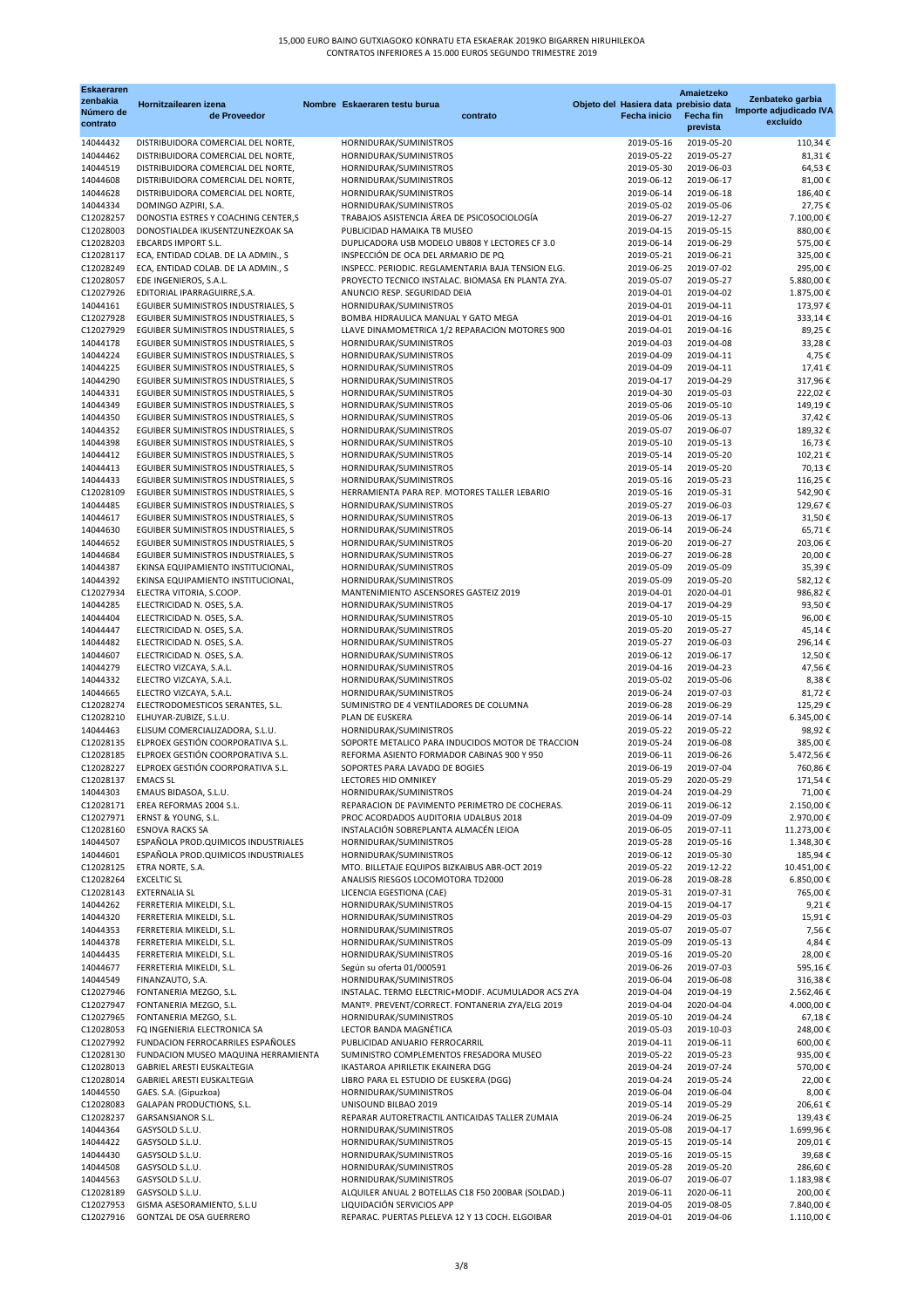| <b>Eskaeraren</b>                 |                                                                            |                                                                                 |                          | Amaietzeko                                                            | Zenbateko garbia                   |
|-----------------------------------|----------------------------------------------------------------------------|---------------------------------------------------------------------------------|--------------------------|-----------------------------------------------------------------------|------------------------------------|
| zenbakia<br>Número de<br>contrato | Hornitzailearen izena<br>de Proveedor                                      | Nombre Eskaeraren testu burua<br>contrato                                       | <b>Fecha inicio</b>      | Objeto del Hasiera data prebisio data<br><b>Fecha fin</b><br>prevista | Importe adjudicado IVA<br>excluído |
| 14044432                          | DISTRIBUIDORA COMERCIAL DEL NORTE,                                         | HORNIDURAK/SUMINISTROS                                                          | 2019-05-16               | 2019-05-20                                                            | 110,34€                            |
| 14044462                          | DISTRIBUIDORA COMERCIAL DEL NORTE,                                         | HORNIDURAK/SUMINISTROS                                                          | 2019-05-22               | 2019-05-27                                                            | 81,31€                             |
| 14044519<br>14044608              | DISTRIBUIDORA COMERCIAL DEL NORTE,<br>DISTRIBUIDORA COMERCIAL DEL NORTE,   | HORNIDURAK/SUMINISTROS<br>HORNIDURAK/SUMINISTROS                                | 2019-05-30<br>2019-06-12 | 2019-06-03<br>2019-06-17                                              | 64,53€<br>81,00€                   |
| 14044628                          | DISTRIBUIDORA COMERCIAL DEL NORTE,                                         | HORNIDURAK/SUMINISTROS                                                          | 2019-06-14               | 2019-06-18                                                            | 186,40€                            |
| 14044334                          | DOMINGO AZPIRI, S.A.                                                       | HORNIDURAK/SUMINISTROS                                                          | 2019-05-02               | 2019-05-06                                                            | 27,75€                             |
| C12028257                         | DONOSTIA ESTRES Y COACHING CENTER, S                                       | TRABAJOS ASISTENCIA ÁREA DE PSICOSOCIOLOGÍA                                     | 2019-06-27               | 2019-12-27                                                            | 7.100,00€                          |
| C12028003<br>C12028203            | DONOSTIALDEA IKUSENTZUNEZKOAK SA<br><b>EBCARDS IMPORT S.L.</b>             | PUBLICIDAD HAMAIKA TB MUSEO<br>DUPLICADORA USB MODELO UB808 Y LECTORES CF 3.0   | 2019-04-15<br>2019-06-14 | 2019-05-15<br>2019-06-29                                              | 880,00€<br>575,00€                 |
| C12028117                         | ECA, ENTIDAD COLAB. DE LA ADMIN., S                                        | INSPECCIÓN DE OCA DEL ARMARIO DE PQ                                             | 2019-05-21               | 2019-06-21                                                            | 325,00€                            |
| C12028249                         | ECA, ENTIDAD COLAB. DE LA ADMIN., S                                        | INSPECC. PERIODIC. REGLAMENTARIA BAJA TENSION ELG.                              | 2019-06-25               | 2019-07-02                                                            | 295,00€                            |
| C12028057                         | EDE INGENIEROS, S.A.L.                                                     | PROYECTO TECNICO INSTALAC. BIOMASA EN PLANTA ZYA.                               | 2019-05-07               | 2019-05-27                                                            | 5.880,00€                          |
| C12027926<br>14044161             | EDITORIAL IPARRAGUIRRE, S.A.<br>EGUIBER SUMINISTROS INDUSTRIALES, S        | ANUNCIO RESP. SEGURIDAD DEIA<br>HORNIDURAK/SUMINISTROS                          | 2019-04-01<br>2019-04-01 | 2019-04-02<br>2019-04-11                                              | 1.875,00€<br>173,97€               |
| C12027928                         | EGUIBER SUMINISTROS INDUSTRIALES, S                                        | BOMBA HIDRAULICA MANUAL Y GATO MEGA                                             | 2019-04-01               | 2019-04-16                                                            | 333,14€                            |
| C12027929                         | EGUIBER SUMINISTROS INDUSTRIALES, S                                        | LLAVE DINAMOMETRICA 1/2 REPARACION MOTORES 900                                  | 2019-04-01               | 2019-04-16                                                            | 89,25€                             |
| 14044178                          | EGUIBER SUMINISTROS INDUSTRIALES, S                                        | HORNIDURAK/SUMINISTROS                                                          | 2019-04-03               | 2019-04-08                                                            | 33,28€                             |
| 14044224<br>14044225              | EGUIBER SUMINISTROS INDUSTRIALES, S<br>EGUIBER SUMINISTROS INDUSTRIALES, S | HORNIDURAK/SUMINISTROS<br>HORNIDURAK/SUMINISTROS                                | 2019-04-09<br>2019-04-09 | 2019-04-11<br>2019-04-11                                              | 4,75€<br>17,41€                    |
| 14044290                          | EGUIBER SUMINISTROS INDUSTRIALES, S                                        | HORNIDURAK/SUMINISTROS                                                          | 2019-04-17               | 2019-04-29                                                            | 317,96€                            |
| 14044331                          | EGUIBER SUMINISTROS INDUSTRIALES, S                                        | HORNIDURAK/SUMINISTROS                                                          | 2019-04-30               | 2019-05-03                                                            | 222,02€                            |
| 14044349                          | EGUIBER SUMINISTROS INDUSTRIALES, S                                        | HORNIDURAK/SUMINISTROS                                                          | 2019-05-06               | 2019-05-10                                                            | 149,19€                            |
| 14044350<br>14044352              | EGUIBER SUMINISTROS INDUSTRIALES, S<br>EGUIBER SUMINISTROS INDUSTRIALES, S | HORNIDURAK/SUMINISTROS<br>HORNIDURAK/SUMINISTROS                                | 2019-05-06<br>2019-05-07 | 2019-05-13<br>2019-06-07                                              | 37,42€<br>189,32€                  |
| 14044398                          | EGUIBER SUMINISTROS INDUSTRIALES, S                                        | HORNIDURAK/SUMINISTROS                                                          | 2019-05-10               | 2019-05-13                                                            | 16,73€                             |
| 14044412                          | EGUIBER SUMINISTROS INDUSTRIALES, S                                        | HORNIDURAK/SUMINISTROS                                                          | 2019-05-14               | 2019-05-20                                                            | 102,21€                            |
| 14044413                          | EGUIBER SUMINISTROS INDUSTRIALES, S                                        | HORNIDURAK/SUMINISTROS                                                          | 2019-05-14               | 2019-05-20                                                            | 70,13€                             |
| 14044433                          | EGUIBER SUMINISTROS INDUSTRIALES, S                                        | HORNIDURAK/SUMINISTROS                                                          | 2019-05-16               | 2019-05-23                                                            | 116,25 €                           |
| C12028109<br>14044485             | EGUIBER SUMINISTROS INDUSTRIALES, S<br>EGUIBER SUMINISTROS INDUSTRIALES, S | HERRAMIENTA PARA REP. MOTORES TALLER LEBARIO<br>HORNIDURAK/SUMINISTROS          | 2019-05-16<br>2019-05-27 | 2019-05-31<br>2019-06-03                                              | 542,90€<br>129,67€                 |
| 14044617                          | EGUIBER SUMINISTROS INDUSTRIALES, S                                        | HORNIDURAK/SUMINISTROS                                                          | 2019-06-13               | 2019-06-17                                                            | 31,50€                             |
| 14044630                          | EGUIBER SUMINISTROS INDUSTRIALES, S                                        | HORNIDURAK/SUMINISTROS                                                          | 2019-06-14               | 2019-06-24                                                            | 65,71€                             |
| 14044652                          | EGUIBER SUMINISTROS INDUSTRIALES, S                                        | HORNIDURAK/SUMINISTROS                                                          | 2019-06-20               | 2019-06-27                                                            | 203,06€                            |
| 14044684<br>14044387              | EGUIBER SUMINISTROS INDUSTRIALES, S<br>EKINSA EQUIPAMIENTO INSTITUCIONAL,  | HORNIDURAK/SUMINISTROS<br>HORNIDURAK/SUMINISTROS                                | 2019-06-27<br>2019-05-09 | 2019-06-28<br>2019-05-09                                              | 20,00€<br>35,39€                   |
| 14044392                          | EKINSA EQUIPAMIENTO INSTITUCIONAL,                                         | HORNIDURAK/SUMINISTROS                                                          | 2019-05-09               | 2019-05-20                                                            | 582,12€                            |
| C12027934                         | ELECTRA VITORIA, S.COOP.                                                   | MANTENIMIENTO ASCENSORES GASTEIZ 2019                                           | 2019-04-01               | 2020-04-01                                                            | 986,82€                            |
| 14044285                          | ELECTRICIDAD N. OSES, S.A.                                                 | HORNIDURAK/SUMINISTROS                                                          | 2019-04-17               | 2019-04-29                                                            | 93,50€                             |
| 14044404<br>14044447              | ELECTRICIDAD N. OSES, S.A.<br>ELECTRICIDAD N. OSES, S.A.                   | HORNIDURAK/SUMINISTROS<br>HORNIDURAK/SUMINISTROS                                | 2019-05-10<br>2019-05-20 | 2019-05-15<br>2019-05-27                                              | 96,00€<br>45,14€                   |
| 14044482                          | ELECTRICIDAD N. OSES, S.A.                                                 | HORNIDURAK/SUMINISTROS                                                          | 2019-05-27               | 2019-06-03                                                            | 296,14€                            |
| 14044607                          | ELECTRICIDAD N. OSES, S.A.                                                 | HORNIDURAK/SUMINISTROS                                                          | 2019-06-12               | 2019-06-17                                                            | 12,50€                             |
| 14044279                          | ELECTRO VIZCAYA, S.A.L.                                                    | HORNIDURAK/SUMINISTROS                                                          | 2019-04-16               | 2019-04-23                                                            | 47,56€                             |
| 14044332                          | ELECTRO VIZCAYA, S.A.L.                                                    | HORNIDURAK/SUMINISTROS                                                          | 2019-05-02               | 2019-05-06                                                            | 8,38€                              |
| 14044665<br>C12028274             | ELECTRO VIZCAYA, S.A.L.<br>ELECTRODOMESTICOS SERANTES, S.L.                | HORNIDURAK/SUMINISTROS<br>SUMINISTRO DE 4 VENTILADORES DE COLUMNA               | 2019-06-24<br>2019-06-28 | 2019-07-03<br>2019-06-29                                              | 81,72€<br>125,29€                  |
| C12028210                         | ELHUYAR-ZUBIZE, S.L.U.                                                     | PLAN DE EUSKERA                                                                 | 2019-06-14               | 2019-07-14                                                            | 6.345,00 €                         |
| 14044463                          | ELISUM COMERCIALIZADORA, S.L.U.                                            | HORNIDURAK/SUMINISTROS                                                          | 2019-05-22               | 2019-05-22                                                            | 98,92€                             |
| C12028135                         | ELPROEX GESTIÓN COORPORATIVA S.L.                                          | SOPORTE METALICO PARA INDUCIDOS MOTOR DE TRACCION                               | 2019-05-24               | 2019-06-08                                                            | 385,00€                            |
| C12028185<br>C12028227            | ELPROEX GESTIÓN COORPORATIVA S.L.<br>ELPROEX GESTIÓN COORPORATIVA S.L.     | REFORMA ASIENTO FORMADOR CABINAS 900 Y 950<br>SOPORTES PARA LAVADO DE BOGIES    | 2019-06-11<br>2019-06-19 | 2019-06-26<br>2019-07-04                                              | 5.472,56€<br>760,86€               |
| C12028137                         | <b>EMACS SL</b>                                                            | LECTORES HID OMNIKEY                                                            | 2019-05-29               | 2020-05-29                                                            | 171,54€                            |
| 14044303                          | EMAUS BIDASOA, S.L.U.                                                      | HORNIDURAK/SUMINISTROS                                                          | 2019-04-24               | 2019-04-29                                                            | 71,00€                             |
| C12028171                         | EREA REFORMAS 2004 S.L.                                                    | REPARACION DE PAVIMENTO PERIMETRO DE COCHERAS.                                  | 2019-06-11               | 2019-06-12                                                            | 2.150,00 €                         |
| C12027971<br>C12028160            | ERNST & YOUNG, S.L.<br><b>ESNOVA RACKS SA</b>                              | PROC ACORDADOS AUDITORIA UDALBUS 2018<br>INSTALACIÓN SOBREPLANTA ALMACÉN LEIOA  | 2019-04-09<br>2019-06-05 | 2019-07-09<br>2019-07-11                                              | 2.970,00 €<br>11.273,00€           |
| 14044507                          | ESPAÑOLA PROD. QUIMICOS INDUSTRIALES                                       | HORNIDURAK/SUMINISTROS                                                          | 2019-05-28               | 2019-05-16                                                            | 1.348,30€                          |
| 14044601                          | ESPAÑOLA PROD. QUIMICOS INDUSTRIALES                                       | HORNIDURAK/SUMINISTROS                                                          | 2019-06-12               | 2019-05-30                                                            | 185,94€                            |
| C12028125                         | ETRA NORTE, S.A.                                                           | MTO. BILLETAJE EQUIPOS BIZKAIBUS ABR-OCT 2019                                   |                          | 2019-05-22 2019-12-22                                                 | 10.451,00 €                        |
| C12028264<br>C12028143            | <b>EXCELTIC SL</b><br><b>EXTERNALIA SL</b>                                 | ANALISIS RIESGOS LOCOMOTORA TD2000<br>LICENCIA EGESTIONA (CAE)                  | 2019-06-28<br>2019-05-31 | 2019-08-28<br>2019-07-31                                              | 6.850,00 €<br>765,00 €             |
| 14044262                          | FERRETERIA MIKELDI, S.L.                                                   | HORNIDURAK/SUMINISTROS                                                          | 2019-04-15               | 2019-04-17                                                            | 9,21€                              |
| 14044320                          | FERRETERIA MIKELDI, S.L.                                                   | HORNIDURAK/SUMINISTROS                                                          | 2019-04-29               | 2019-05-03                                                            | 15,91€                             |
| 14044353                          | FERRETERIA MIKELDI, S.L.                                                   | HORNIDURAK/SUMINISTROS                                                          | 2019-05-07               | 2019-05-07                                                            | 7,56€                              |
| 14044378<br>14044435              | FERRETERIA MIKELDI, S.L.<br>FERRETERIA MIKELDI, S.L.                       | HORNIDURAK/SUMINISTROS<br>HORNIDURAK/SUMINISTROS                                | 2019-05-09<br>2019-05-16 | 2019-05-13<br>2019-05-20                                              | 4,84€<br>28,00€                    |
| 14044677                          | FERRETERIA MIKELDI, S.L.                                                   | Según su oferta 01/000591                                                       | 2019-06-26               | 2019-07-03                                                            | 595,16€                            |
| 14044549                          | FINANZAUTO, S.A.                                                           | HORNIDURAK/SUMINISTROS                                                          | 2019-06-04               | 2019-06-08                                                            | 316,38€                            |
| C12027946                         | FONTANERIA MEZGO, S.L.                                                     | INSTALAC. TERMO ELECTRIC+MODIF. ACUMULADOR ACS ZYA                              | 2019-04-04               | 2019-04-19                                                            | 2.562,46€                          |
| C12027947<br>C12027965            | FONTANERIA MEZGO, S.L.<br>FONTANERIA MEZGO, S.L.                           | MANTº. PREVENT/CORRECT. FONTANERIA ZYA/ELG 2019<br>HORNIDURAK/SUMINISTROS       | 2019-04-04<br>2019-05-10 | 2020-04-04<br>2019-04-24                                              | 4.000,00 €<br>67,18€               |
| C12028053                         | FQ INGENIERIA ELECTRONICA SA                                               | LECTOR BANDA MAGNÉTICA                                                          | 2019-05-03               | 2019-10-03                                                            | 248,00€                            |
| C12027992                         | FUNDACION FERROCARRILES ESPAÑOLES                                          | PUBLICIDAD ANUARIO FERROCARRIL                                                  | 2019-04-11               | 2019-06-11                                                            | 600,00€                            |
| C12028130                         | FUNDACION MUSEO MAQUINA HERRAMIENTA                                        | SUMINISTRO COMPLEMENTOS FRESADORA MUSEO                                         | 2019-05-22               | 2019-05-23                                                            | 935,00€                            |
| C12028013<br>C12028014            | GABRIEL ARESTI EUSKALTEGIA<br>GABRIEL ARESTI EUSKALTEGIA                   | IKASTAROA APIRILETIK EKAINERA DGG<br>LIBRO PARA EL ESTUDIO DE EUSKERA (DGG)     | 2019-04-24<br>2019-04-24 | 2019-07-24<br>2019-05-24                                              | 570,00€<br>22,00€                  |
| 14044550                          | GAES. S.A. (Gipuzkoa)                                                      | HORNIDURAK/SUMINISTROS                                                          | 2019-06-04               | 2019-06-04                                                            | 8,00€                              |
| C12028083                         | <b>GALAPAN PRODUCTIONS, S.L.</b>                                           | UNISOUND BILBAO 2019                                                            | 2019-05-14               | 2019-05-29                                                            | 206,61€                            |
| C12028237                         | <b>GARSANSIANOR S.L.</b>                                                   | REPARAR AUTORETRACTIL ANTICAIDAS TALLER ZUMAIA                                  | 2019-06-24               | 2019-06-25                                                            | 139,43€                            |
| 14044364<br>14044422              | GASYSOLD S.L.U.<br>GASYSOLD S.L.U.                                         | HORNIDURAK/SUMINISTROS<br>HORNIDURAK/SUMINISTROS                                | 2019-05-08<br>2019-05-15 | 2019-04-17<br>2019-05-14                                              | 1.699,96€<br>209,01€               |
| 14044430                          | GASYSOLD S.L.U.                                                            | HORNIDURAK/SUMINISTROS                                                          | 2019-05-16               | 2019-05-15                                                            | 39,68€                             |
| 14044508                          | GASYSOLD S.L.U.                                                            | HORNIDURAK/SUMINISTROS                                                          | 2019-05-28               | 2019-05-20                                                            | 286,60€                            |
| 14044563                          | GASYSOLD S.L.U.                                                            | HORNIDURAK/SUMINISTROS                                                          | 2019-06-07               | 2019-06-07                                                            | 1.183,98€                          |
| C12028189<br>C12027953            | GASYSOLD S.L.U.<br>GISMA ASESORAMIENTO, S.L.U                              | ALQUILER ANUAL 2 BOTELLAS C18 F50 200BAR (SOLDAD.)<br>LIQUIDACIÓN SERVICIOS APP | 2019-06-11<br>2019-04-05 | 2020-06-11<br>2019-08-05                                              | 200,00€<br>7.840,00 €              |
| C12027916                         | GONTZAL DE OSA GUERRERO                                                    | REPARAC. PUERTAS PLELEVA 12 Y 13 COCH. ELGOIBAR                                 | 2019-04-01               | 2019-04-06                                                            | 1.110,00€                          |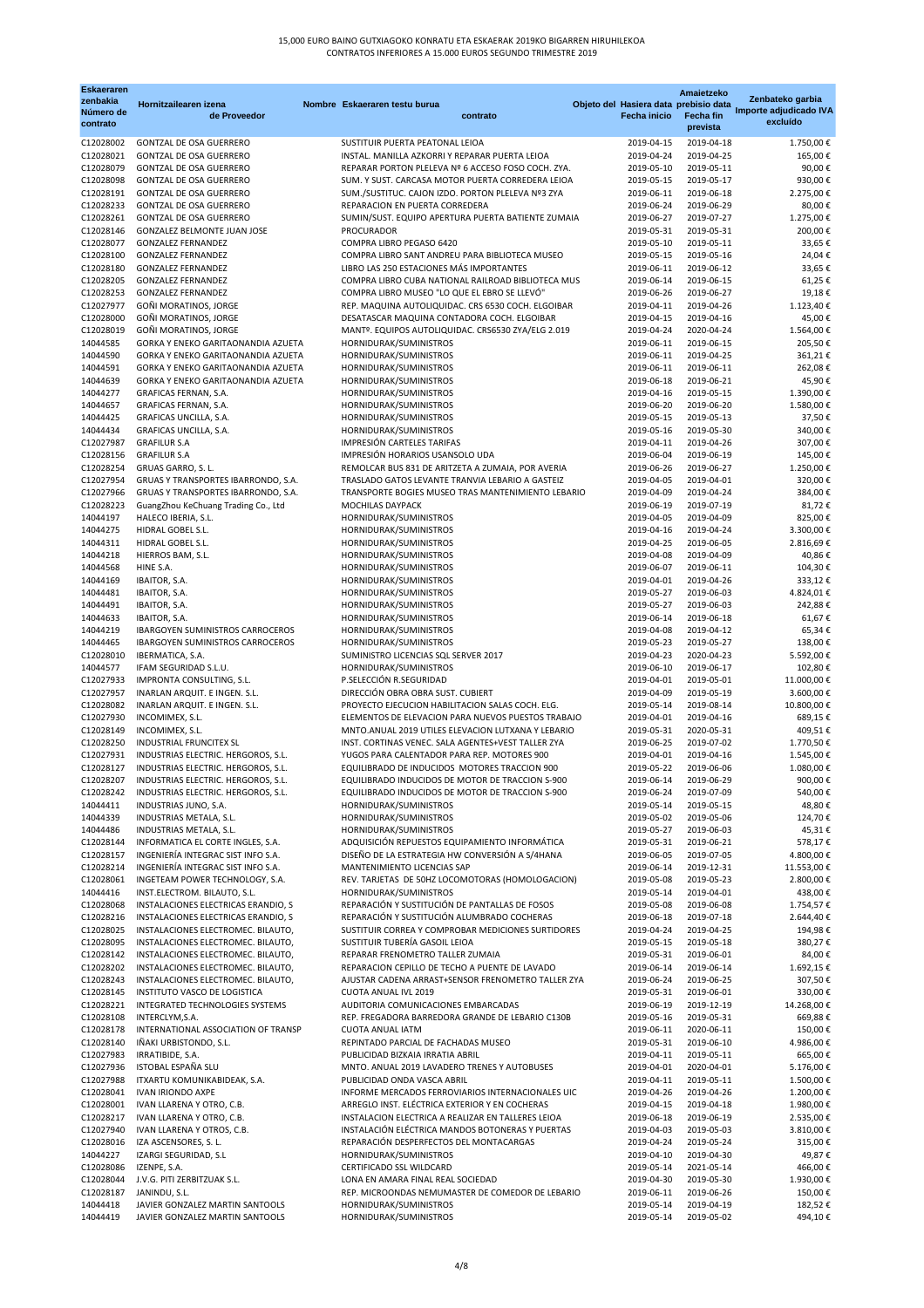| <b>Eskaeraren</b><br>zenbakia<br>Número de<br>contrato | Hornitzailearen izena<br>de Proveedor                                    | Nombre Eskaeraren testu burua<br>contrato                                    | Objeto del Hasiera data prebisio data<br><b>Fecha inicio</b> | Amaietzeko<br><b>Fecha fin</b><br>prevista | Zenbateko garbia<br>Importe adjudicado IVA<br>excluído |
|--------------------------------------------------------|--------------------------------------------------------------------------|------------------------------------------------------------------------------|--------------------------------------------------------------|--------------------------------------------|--------------------------------------------------------|
| C12028002                                              | <b>GONTZAL DE OSA GUERRERO</b>                                           | SUSTITUIR PUERTA PEATONAL LEIOA                                              | 2019-04-15                                                   | 2019-04-18                                 | 1.750,00€                                              |
| C12028021                                              | <b>GONTZAL DE OSA GUERRERO</b>                                           | INSTAL. MANILLA AZKORRI Y REPARAR PUERTA LEIOA                               | 2019-04-24                                                   | 2019-04-25                                 | 165,00€                                                |
| C12028079                                              | <b>GONTZAL DE OSA GUERRERO</b>                                           | REPARAR PORTON PLELEVA Nº 6 ACCESO FOSO COCH. ZYA.                           | 2019-05-10                                                   | 2019-05-11                                 | 90,00€                                                 |
| C12028098                                              | <b>GONTZAL DE OSA GUERRERO</b>                                           | SUM. Y SUST. CARCASA MOTOR PUERTA CORREDERA LEIOA                            | 2019-05-15                                                   | 2019-05-17                                 | 930,00€                                                |
| C12028191                                              | <b>GONTZAL DE OSA GUERRERO</b>                                           | SUM./SUSTITUC. CAJON IZDO. PORTON PLELEVA Nº3 ZYA                            | 2019-06-11                                                   | 2019-06-18                                 | 2.275,00€                                              |
| C12028233                                              | <b>GONTZAL DE OSA GUERRERO</b>                                           | REPARACION EN PUERTA CORREDERA                                               | 2019-06-24                                                   | 2019-06-29                                 | 80,00€                                                 |
| C12028261                                              | <b>GONTZAL DE OSA GUERRERO</b>                                           | SUMIN/SUST. EQUIPO APERTURA PUERTA BATIENTE ZUMAIA                           | 2019-06-27                                                   | 2019-07-27                                 | 1.275,00€                                              |
| C12028146                                              | <b>GONZALEZ BELMONTE JUAN JOSE</b>                                       | <b>PROCURADOR</b>                                                            | 2019-05-31                                                   | 2019-05-31                                 | 200,00€                                                |
| C12028077                                              | <b>GONZALEZ FERNANDEZ</b>                                                | COMPRA LIBRO PEGASO 6420                                                     | 2019-05-10                                                   | 2019-05-11                                 | 33,65€                                                 |
| C12028100                                              | <b>GONZALEZ FERNANDEZ</b>                                                | COMPRA LIBRO SANT ANDREU PARA BIBLIOTECA MUSEO                               | 2019-05-15                                                   | 2019-05-16                                 | 24,04€                                                 |
| C12028180                                              | <b>GONZALEZ FERNANDEZ</b>                                                | LIBRO LAS 250 ESTACIONES MÁS IMPORTANTES                                     | 2019-06-11                                                   | 2019-06-12                                 | 33,65€                                                 |
| C12028205                                              | <b>GONZALEZ FERNANDEZ</b>                                                | COMPRA LIBRO CUBA NATIONAL RAILROAD BIBLIOTECA MUS                           | 2019-06-14                                                   | 2019-06-15                                 | 61,25€                                                 |
| C12028253                                              | <b>GONZALEZ FERNANDEZ</b>                                                | COMPRA LIBRO MUSEO "LO QUE EL EBRO SE LLEVÓ"                                 | 2019-06-26                                                   | 2019-06-27                                 | 19,18€                                                 |
| C12027977                                              | GOÑI MORATINOS, JORGE                                                    | REP. MAQUINA AUTOLIQUIDAC. CRS 6530 COCH. ELGOIBAR                           | 2019-04-11                                                   | 2019-04-26                                 | 1.123,40€                                              |
| C12028000                                              | GOÑI MORATINOS, JORGE                                                    | DESATASCAR MAQUINA CONTADORA COCH. ELGOIBAR                                  | 2019-04-15                                                   | 2019-04-16                                 | 45,00€                                                 |
| C12028019<br>14044585                                  | GOÑI MORATINOS, JORGE<br>GORKA Y ENEKO GARITAONANDIA AZUETA              | MANTº. EQUIPOS AUTOLIQUIDAC. CRS6530 ZYA/ELG 2.019<br>HORNIDURAK/SUMINISTROS | 2019-04-24<br>2019-06-11                                     | 2020-04-24<br>2019-06-15                   | 1.564,00€<br>205,50€                                   |
| 14044590                                               | GORKA Y ENEKO GARITAONANDIA AZUETA                                       | HORNIDURAK/SUMINISTROS                                                       | 2019-06-11                                                   | 2019-04-25                                 | 361,21€                                                |
| 14044591                                               | GORKA Y ENEKO GARITAONANDIA AZUETA                                       | HORNIDURAK/SUMINISTROS                                                       | 2019-06-11                                                   | 2019-06-11                                 | 262,08€                                                |
| 14044639                                               | GORKA Y ENEKO GARITAONANDIA AZUETA                                       | HORNIDURAK/SUMINISTROS                                                       | 2019-06-18                                                   | 2019-06-21                                 | 45,90€                                                 |
| 14044277                                               | GRAFICAS FERNAN, S.A.                                                    | HORNIDURAK/SUMINISTROS                                                       | 2019-04-16                                                   | 2019-05-15                                 | 1.390,00€                                              |
| 14044657                                               | GRAFICAS FERNAN, S.A.                                                    | HORNIDURAK/SUMINISTROS                                                       | 2019-06-20                                                   | 2019-06-20                                 | 1.580,00€                                              |
| 14044425                                               | GRAFICAS UNCILLA, S.A.                                                   | HORNIDURAK/SUMINISTROS                                                       | 2019-05-15                                                   | 2019-05-13                                 | 37,50€                                                 |
| 14044434                                               | GRAFICAS UNCILLA, S.A.                                                   | HORNIDURAK/SUMINISTROS                                                       | 2019-05-16                                                   | 2019-05-30                                 | 340,00€                                                |
| C12027987                                              | <b>GRAFILUR S.A</b>                                                      | <b>IMPRESIÓN CARTELES TARIFAS</b>                                            | 2019-04-11                                                   | 2019-04-26                                 | 307,00€                                                |
| C12028156                                              | <b>GRAFILUR S.A</b>                                                      | IMPRESIÓN HORARIOS USANSOLO UDA                                              | 2019-06-04                                                   | 2019-06-19                                 | 145,00€                                                |
| C12028254                                              | GRUAS GARRO, S. L.                                                       | REMOLCAR BUS 831 DE ARITZETA A ZUMAIA, POR AVERIA                            | 2019-06-26                                                   | 2019-06-27                                 | 1.250,00€                                              |
| C12027954                                              | GRUAS Y TRANSPORTES IBARRONDO, S.A.                                      | TRASLADO GATOS LEVANTE TRANVIA LEBARIO A GASTEIZ                             | 2019-04-05                                                   | 2019-04-01                                 | 320,00€                                                |
| C12027966                                              | GRUAS Y TRANSPORTES IBARRONDO, S.A.                                      | TRANSPORTE BOGIES MUSEO TRAS MANTENIMIENTO LEBARIO                           | 2019-04-09                                                   | 2019-04-24                                 | 384,00 €                                               |
| C12028223                                              | GuangZhou KeChuang Trading Co., Ltd                                      | <b>MOCHILAS DAYPACK</b>                                                      | 2019-06-19                                                   | 2019-07-19                                 | 81,72€                                                 |
| 14044197                                               | HALECO IBERIA, S.L.                                                      | HORNIDURAK/SUMINISTROS                                                       | 2019-04-05                                                   | 2019-04-09                                 | 825,00€                                                |
| 14044275                                               | HIDRAL GOBEL S.L.                                                        | HORNIDURAK/SUMINISTROS                                                       | 2019-04-16                                                   | 2019-04-24                                 | 3.300,00 €                                             |
| 14044311                                               | HIDRAL GOBEL S.L.                                                        | HORNIDURAK/SUMINISTROS                                                       | 2019-04-25                                                   | 2019-06-05                                 | 2.816,69€                                              |
| 14044218                                               | HIERROS BAM, S.L.                                                        | HORNIDURAK/SUMINISTROS                                                       | 2019-04-08                                                   | 2019-04-09                                 | 40,86€                                                 |
| 14044568                                               | HINE S.A.                                                                | HORNIDURAK/SUMINISTROS                                                       | 2019-06-07                                                   | 2019-06-11                                 | 104,30€                                                |
| 14044169                                               | IBAITOR, S.A.                                                            | HORNIDURAK/SUMINISTROS                                                       | 2019-04-01                                                   | 2019-04-26                                 | 333,12€                                                |
| 14044481                                               | IBAITOR, S.A.                                                            | HORNIDURAK/SUMINISTROS                                                       | 2019-05-27                                                   | 2019-06-03                                 | 4.824,01€                                              |
| 14044491                                               | IBAITOR, S.A.                                                            | HORNIDURAK/SUMINISTROS                                                       | 2019-05-27                                                   | 2019-06-03                                 | 242,88€                                                |
| 14044633                                               | IBAITOR, S.A.                                                            | HORNIDURAK/SUMINISTROS                                                       | 2019-06-14                                                   | 2019-06-18                                 | 61,67 €                                                |
| 14044219                                               | <b>IBARGOYEN SUMINISTROS CARROCEROS</b>                                  | HORNIDURAK/SUMINISTROS                                                       | 2019-04-08                                                   | 2019-04-12                                 | 65,34€                                                 |
| 14044465                                               | <b>IBARGOYEN SUMINISTROS CARROCEROS</b>                                  | HORNIDURAK/SUMINISTROS                                                       | 2019-05-23                                                   | 2019-05-27                                 | 138,00 €                                               |
| C12028010                                              | IBERMATICA, S.A.                                                         | SUMINISTRO LICENCIAS SQL SERVER 2017                                         | 2019-04-23                                                   | 2020-04-23                                 | 5.592,00 €                                             |
| 14044577                                               | IFAM SEGURIDAD S.L.U.                                                    | HORNIDURAK/SUMINISTROS<br>P.SELECCIÓN R.SEGURIDAD                            | 2019-06-10<br>2019-04-01                                     | 2019-06-17                                 | 102,80€                                                |
| C12027933<br>C12027957                                 | IMPRONTA CONSULTING, S.L.<br>INARLAN ARQUIT. E INGEN. S.L.               | DIRECCIÓN OBRA OBRA SUST. CUBIERT                                            | 2019-04-09                                                   | 2019-05-01<br>2019-05-19                   | 11.000,00 €<br>3.600,00 €                              |
| C12028082                                              | INARLAN ARQUIT. E INGEN. S.L.                                            | PROYECTO EJECUCION HABILITACION SALAS COCH. ELG.                             | 2019-05-14                                                   | 2019-08-14                                 | 10.800,00 €                                            |
| C12027930                                              | INCOMIMEX, S.L.                                                          | ELEMENTOS DE ELEVACION PARA NUEVOS PUESTOS TRABAJO                           | 2019-04-01                                                   | 2019-04-16                                 | 689,15€                                                |
| C12028149                                              | INCOMIMEX, S.L.                                                          | MNTO.ANUAL 2019 UTILES ELEVACION LUTXANA Y LEBARIO                           | 2019-05-31                                                   | 2020-05-31                                 | 409,51€                                                |
| C12028250                                              | <b>INDUSTRIAL FRUNCITEX SL</b>                                           | INST. CORTINAS VENEC. SALA AGENTES+VEST TALLER ZYA                           | 2019-06-25                                                   | 2019-07-02                                 | 1.770,50€                                              |
| C12027931                                              | INDUSTRIAS ELECTRIC. HERGOROS, S.L.                                      | YUGOS PARA CALENTADOR PARA REP. MOTORES 900                                  | 2019-04-01                                                   | 2019-04-16                                 | 1.545,00€                                              |
| C12028127                                              | INDUSTRIAS ELECTRIC. HERGOROS, S.L.                                      | EQUILIBRADO DE INDUCIDOS MOTORES TRACCION 900                                | 2019-05-22                                                   | 2019-06-06                                 | 1.080,00€                                              |
| C12028207                                              | INDUSTRIAS ELECTRIC. HERGOROS, S.L.                                      | EQUILIBRADO INDUCIDOS DE MOTOR DE TRACCION S-900                             | 2019-06-14                                                   | 2019-06-29                                 | 900,00€                                                |
| C12028242                                              | INDUSTRIAS ELECTRIC. HERGOROS, S.L.                                      | EQUILIBRADO INDUCIDOS DE MOTOR DE TRACCION S-900                             | 2019-06-24                                                   | 2019-07-09                                 | 540,00€                                                |
| 14044411                                               | INDUSTRIAS JUNO, S.A.                                                    | HORNIDURAK/SUMINISTROS                                                       | 2019-05-14                                                   | 2019-05-15                                 | 48,80 €                                                |
| 14044339                                               | INDUSTRIAS METALA, S.L.                                                  | HORNIDURAK/SUMINISTROS                                                       | 2019-05-02                                                   | 2019-05-06                                 | 124,70€                                                |
| 14044486                                               | INDUSTRIAS METALA, S.L.                                                  | HORNIDURAK/SUMINISTROS                                                       | 2019-05-27                                                   | 2019-06-03                                 | 45,31€                                                 |
| C12028144                                              | INFORMATICA EL CORTE INGLES, S.A.                                        | ADQUISICIÓN REPUESTOS EQUIPAMIENTO INFORMÁTICA                               | 2019-05-31                                                   | 2019-06-21                                 | 578,17€                                                |
| C12028157                                              | INGENIERÍA INTEGRAC SIST INFO S.A.                                       | DISEÑO DE LA ESTRATEGIA HW CONVERSIÓN A S/4HANA                              | 2019-06-05                                                   | 2019-07-05                                 | 4.800,00 €                                             |
|                                                        | C12028214 INGENIERÍA INTEGRAC SIST INFO S.A.                             | MANTENIMIENTO LICENCIAS SAP                                                  | 2019-06-14                                                   | 2019-12-31                                 | 11.553,00 €                                            |
| C12028061                                              | INGETEAM POWER TECHNOLOGY, S.A.                                          | REV. TARJETAS DE 50HZ LOCOMOTORAS (HOMOLOGACION)                             | 2019-05-08                                                   | 2019-05-23                                 | 2.800,00 €                                             |
| 14044416                                               | INST.ELECTROM. BILAUTO, S.L.                                             | HORNIDURAK/SUMINISTROS                                                       | 2019-05-14                                                   | 2019-04-01                                 | 438,00€                                                |
| C12028068                                              | INSTALACIONES ELECTRICAS ERANDIO, S                                      | REPARACIÓN Y SUSTITUCIÓN DE PANTALLAS DE FOSOS                               | 2019-05-08                                                   | 2019-06-08                                 | 1.754,57€                                              |
| C12028216                                              | INSTALACIONES ELECTRICAS ERANDIO, S                                      | REPARACIÓN Y SUSTITUCIÓN ALUMBRADO COCHERAS                                  | 2019-06-18                                                   | 2019-07-18                                 | 2.644,40€                                              |
| C12028025                                              | INSTALACIONES ELECTROMEC. BILAUTO,                                       | SUSTITUIR CORREA Y COMPROBAR MEDICIONES SURTIDORES                           | 2019-04-24                                                   | 2019-04-25                                 | 194,98€                                                |
| C12028095                                              | INSTALACIONES ELECTROMEC. BILAUTO,                                       | SUSTITUIR TUBERÍA GASOIL LEIOA<br>REPARAR FRENOMETRO TALLER ZUMAIA           | 2019-05-15                                                   | 2019-05-18                                 | 380,27€                                                |
| C12028142<br>C12028202                                 | INSTALACIONES ELECTROMEC. BILAUTO,<br>INSTALACIONES ELECTROMEC. BILAUTO, | REPARACION CEPILLO DE TECHO A PUENTE DE LAVADO                               | 2019-05-31<br>2019-06-14                                     | 2019-06-01<br>2019-06-14                   | 84,00€<br>1.692,15€                                    |
| C12028243                                              | INSTALACIONES ELECTROMEC. BILAUTO,                                       | AJUSTAR CADENA ARRAST+SENSOR FRENOMETRO TALLER ZYA                           | 2019-06-24                                                   | 2019-06-25                                 | 307,50€                                                |
| C12028145                                              | <b>INSTITUTO VASCO DE LOGISTICA</b>                                      | <b>CUOTA ANUAL IVL 2019</b>                                                  | 2019-05-31                                                   | 2019-06-01                                 | 330,00€                                                |
| C12028221                                              | INTEGRATED TECHNOLOGIES SYSTEMS                                          | AUDITORIA COMUNICACIONES EMBARCADAS                                          | 2019-06-19                                                   | 2019-12-19                                 | 14.268,00 €                                            |
| C12028108                                              | INTERCLYM, S.A.                                                          | REP. FREGADORA BARREDORA GRANDE DE LEBARIO C130B                             | 2019-05-16                                                   | 2019-05-31                                 | 669,88€                                                |
| C12028178                                              | INTERNATIONAL ASSOCIATION OF TRANSP                                      | <b>CUOTA ANUAL IATM</b>                                                      | 2019-06-11                                                   | 2020-06-11                                 | 150,00€                                                |
| C12028140                                              | IÑAKI URBISTONDO, S.L.                                                   | REPINTADO PARCIAL DE FACHADAS MUSEO                                          | 2019-05-31                                                   | 2019-06-10                                 | 4.986,00€                                              |
| C12027983                                              | IRRATIBIDE, S.A.                                                         | PUBLICIDAD BIZKAIA IRRATIA ABRIL                                             | 2019-04-11                                                   | 2019-05-11                                 | 665,00€                                                |
| C12027936                                              | ISTOBAL ESPAÑA SLU                                                       | MNTO. ANUAL 2019 LAVADERO TRENES Y AUTOBUSES                                 | 2019-04-01                                                   | 2020-04-01                                 | 5.176,00 €                                             |
| C12027988                                              | ITXARTU KOMUNIKABIDEAK, S.A.                                             | PUBLICIDAD ONDA VASCA ABRIL                                                  | 2019-04-11                                                   | 2019-05-11                                 | 1.500,00€                                              |
| C12028041                                              | <b>IVAN IRIONDO AXPE</b>                                                 | INFORME MERCADOS FERROVIARIOS INTERNACIONALES UIC                            | 2019-04-26                                                   | 2019-04-26                                 | 1.200,00 €                                             |
| C12028001                                              | IVAN LLARENA Y OTRO, C.B.                                                | ARREGLO INST. ELÉCTRICA EXTERIOR Y EN COCHERAS                               | 2019-04-15                                                   | 2019-04-18                                 | 1.980,00€                                              |
| C12028217                                              | IVAN LLARENA Y OTRO, C.B.                                                | INSTALACION ELECTRICA A REALIZAR EN TALLERES LEIOA                           | 2019-06-18                                                   | 2019-06-19                                 | 2.535,00 €                                             |
| C12027940                                              | IVAN LLARENA Y OTROS, C.B.                                               | INSTALACIÓN ELÉCTRICA MANDOS BOTONERAS Y PUERTAS                             | 2019-04-03                                                   | 2019-05-03                                 | 3.810,00€                                              |
| C12028016                                              | IZA ASCENSORES, S. L.                                                    | REPARACIÓN DESPERFECTOS DEL MONTACARGAS                                      | 2019-04-24                                                   | 2019-05-24                                 | 315,00€                                                |
| 14044227                                               | IZARGI SEGURIDAD, S.L                                                    | HORNIDURAK/SUMINISTROS                                                       | 2019-04-10                                                   | 2019-04-30                                 | 49,87€                                                 |
| C12028086                                              | IZENPE, S.A.                                                             | CERTIFICADO SSL WILDCARD                                                     | 2019-05-14                                                   | 2021-05-14                                 | 466,00€                                                |
| C12028044                                              | J.V.G. PITI ZERBITZUAK S.L.                                              | LONA EN AMARA FINAL REAL SOCIEDAD                                            | 2019-04-30                                                   | 2019-05-30                                 | 1.930,00€                                              |
| C12028187                                              | JANINDU, S.L.                                                            | REP. MICROONDAS NEMUMASTER DE COMEDOR DE LEBARIO                             | 2019-06-11                                                   | 2019-06-26                                 | 150,00€                                                |
| 14044418                                               | JAVIER GONZALEZ MARTIN SANTOOLS                                          | HORNIDURAK/SUMINISTROS                                                       | 2019-05-14                                                   | 2019-04-19                                 | 182,52€                                                |
| 14044419                                               | JAVIER GONZALEZ MARTIN SANTOOLS                                          | HORNIDURAK/SUMINISTROS                                                       | 2019-05-14                                                   | 2019-05-02                                 | 494,10€                                                |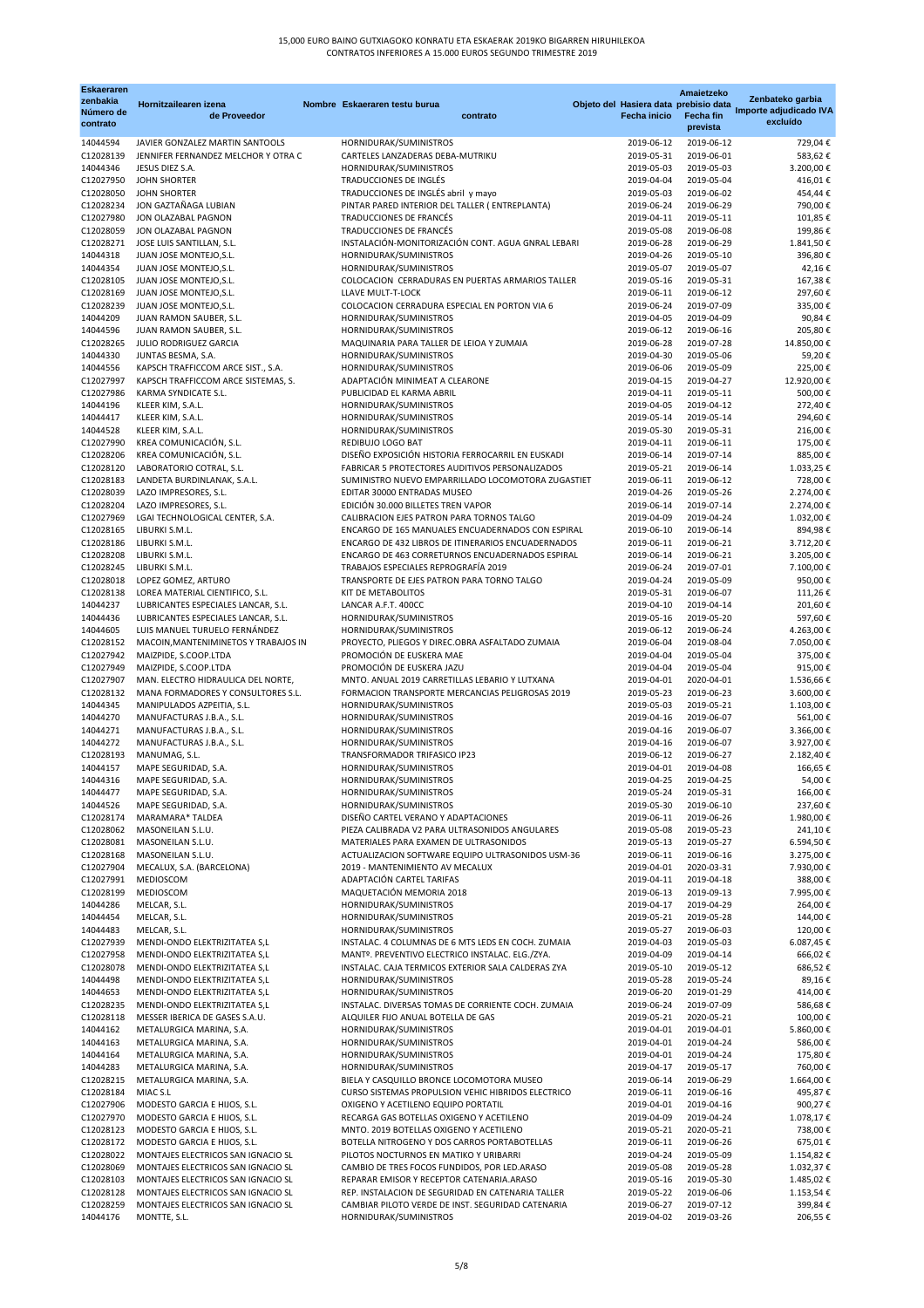| <b>Eskaeraren</b>                 |                                                                       |                                                                                             |                                                              | Amaietzeko                   |                                                        |
|-----------------------------------|-----------------------------------------------------------------------|---------------------------------------------------------------------------------------------|--------------------------------------------------------------|------------------------------|--------------------------------------------------------|
| zenbakia<br>Número de<br>contrato | Hornitzailearen izena<br>de Proveedor                                 | Nombre Eskaeraren testu burua<br>contrato                                                   | Objeto del Hasiera data prebisio data<br><b>Fecha inicio</b> | <b>Fecha fin</b><br>prevista | Zenbateko garbia<br>Importe adjudicado IVA<br>excluído |
| 14044594                          | JAVIER GONZALEZ MARTIN SANTOOLS                                       | HORNIDURAK/SUMINISTROS                                                                      | 2019-06-12                                                   | 2019-06-12                   | 729,04€                                                |
| C12028139                         | JENNIFER FERNANDEZ MELCHOR Y OTRA C                                   | CARTELES LANZADERAS DEBA-MUTRIKU                                                            | 2019-05-31                                                   | 2019-06-01                   | 583,62€                                                |
| 14044346                          | JESUS DIEZ S.A.                                                       | HORNIDURAK/SUMINISTROS                                                                      | 2019-05-03                                                   | 2019-05-03                   | 3.200,00€                                              |
| C12027950<br>C12028050            | <b>JOHN SHORTER</b><br><b>JOHN SHORTER</b>                            | TRADUCCIONES DE INGLÉS<br>TRADUCCIONES DE INGLÉS abril y mayo                               | 2019-04-04<br>2019-05-03                                     | 2019-05-04<br>2019-06-02     | 416,01€<br>454,44€                                     |
| C12028234                         | JON GAZTAÑAGA LUBIAN                                                  | PINTAR PARED INTERIOR DEL TALLER (ENTREPLANTA)                                              | 2019-06-24                                                   | 2019-06-29                   | 790,00€                                                |
| C12027980                         | JON OLAZABAL PAGNON                                                   | TRADUCCIONES DE FRANCÉS                                                                     | 2019-04-11                                                   | 2019-05-11                   | 101,85€                                                |
| C12028059                         | JON OLAZABAL PAGNON                                                   | TRADUCCIONES DE FRANCÉS                                                                     | 2019-05-08                                                   | 2019-06-08                   | 199,86€                                                |
| C12028271                         | JOSE LUIS SANTILLAN, S.L.                                             | INSTALACIÓN-MONITORIZACIÓN CONT. AGUA GNRAL LEBARI                                          | 2019-06-28                                                   | 2019-06-29                   | 1.841,50€                                              |
| 14044318<br>14044354              | JUAN JOSE MONTEJO, S.L.<br>JUAN JOSE MONTEJO, S.L.                    | HORNIDURAK/SUMINISTROS<br>HORNIDURAK/SUMINISTROS                                            | 2019-04-26<br>2019-05-07                                     | 2019-05-10<br>2019-05-07     | 396,80€<br>42,16€                                      |
| C12028105                         | JUAN JOSE MONTEJO, S.L.                                               | COLOCACION CERRADURAS EN PUERTAS ARMARIOS TALLER                                            | 2019-05-16                                                   | 2019-05-31                   | 167,38€                                                |
| C12028169                         | JUAN JOSE MONTEJO, S.L.                                               | LLAVE MULT-T-LOCK                                                                           | 2019-06-11                                                   | 2019-06-12                   | 297,60€                                                |
| C12028239                         | JUAN JOSE MONTEJO, S.L.                                               | COLOCACION CERRADURA ESPECIAL EN PORTON VIA 6                                               | 2019-06-24                                                   | 2019-07-09                   | 335,00€                                                |
| 14044209                          | JUAN RAMON SAUBER, S.L.                                               | HORNIDURAK/SUMINISTROS                                                                      | 2019-04-05                                                   | 2019-04-09                   | 90,84€                                                 |
| 14044596<br>C12028265             | JUAN RAMON SAUBER, S.L.<br><b>JULIO RODRIGUEZ GARCIA</b>              | HORNIDURAK/SUMINISTROS<br>MAQUINARIA PARA TALLER DE LEIOA Y ZUMAIA                          | 2019-06-12<br>2019-06-28                                     | 2019-06-16<br>2019-07-28     | 205,80€<br>14.850,00€                                  |
| 14044330                          | JUNTAS BESMA, S.A.                                                    | HORNIDURAK/SUMINISTROS                                                                      | 2019-04-30                                                   | 2019-05-06                   | 59,20€                                                 |
| 14044556                          | KAPSCH TRAFFICCOM ARCE SIST., S.A.                                    | HORNIDURAK/SUMINISTROS                                                                      | 2019-06-06                                                   | 2019-05-09                   | 225,00€                                                |
| C12027997                         | KAPSCH TRAFFICCOM ARCE SISTEMAS, S.                                   | ADAPTACIÓN MINIMEAT A CLEARONE                                                              | 2019-04-15                                                   | 2019-04-27                   | 12.920,00€                                             |
| C12027986                         | KARMA SYNDICATE S.L.                                                  | PUBLICIDAD EL KARMA ABRIL                                                                   | 2019-04-11                                                   | 2019-05-11                   | 500,00€                                                |
| 14044196<br>14044417              | KLEER KIM, S.A.L.<br>KLEER KIM, S.A.L.                                | HORNIDURAK/SUMINISTROS<br>HORNIDURAK/SUMINISTROS                                            | 2019-04-05<br>2019-05-14                                     | 2019-04-12<br>2019-05-14     | 272,40€<br>294,60€                                     |
| 14044528                          | KLEER KIM, S.A.L.                                                     | HORNIDURAK/SUMINISTROS                                                                      | 2019-05-30                                                   | 2019-05-31                   | 216,00€                                                |
| C12027990                         | KREA COMUNICACIÓN, S.L.                                               | REDIBUJO LOGO BAT                                                                           | 2019-04-11                                                   | 2019-06-11                   | 175,00€                                                |
| C12028206                         | KREA COMUNICACIÓN, S.L.                                               | DISEÑO EXPOSICIÓN HISTORIA FERROCARRIL EN EUSKADI                                           | 2019-06-14                                                   | 2019-07-14                   | 885,00€                                                |
| C12028120                         | LABORATORIO COTRAL, S.L.                                              | <b>FABRICAR 5 PROTECTORES AUDITIVOS PERSONALIZADOS</b>                                      | 2019-05-21                                                   | 2019-06-14                   | 1.033,25€                                              |
| C12028183<br>C12028039            | LANDETA BURDINLANAK, S.A.L.<br>LAZO IMPRESORES, S.L.                  | SUMINISTRO NUEVO EMPARRILLADO LOCOMOTORA ZUGASTIET<br>EDITAR 30000 ENTRADAS MUSEO           | 2019-06-11<br>2019-04-26                                     | 2019-06-12<br>2019-05-26     | 728,00 €<br>2.274,00 €                                 |
| C12028204                         | LAZO IMPRESORES, S.L.                                                 | EDICIÓN 30.000 BILLETES TREN VAPOR                                                          | 2019-06-14                                                   | 2019-07-14                   | 2.274,00 €                                             |
| C12027969                         | LGAI TECHNOLOGICAL CENTER, S.A.                                       | CALIBRACION EJES PATRON PARA TORNOS TALGO                                                   | 2019-04-09                                                   | 2019-04-24                   | 1.032,00 €                                             |
| C12028165                         | LIBURKI S.M.L.                                                        | ENCARGO DE 165 MANUALES ENCUADERNADOS CON ESPIRAL                                           | 2019-06-10                                                   | 2019-06-14                   | 894,98€                                                |
| C12028186                         | LIBURKI S.M.L.                                                        | ENCARGO DE 432 LIBROS DE ITINERARIOS ENCUADERNADOS                                          | 2019-06-11                                                   | 2019-06-21                   | 3.712,20€                                              |
| C12028208<br>C12028245            | LIBURKI S.M.L.<br>LIBURKI S.M.L.                                      | ENCARGO DE 463 CORRETURNOS ENCUADERNADOS ESPIRAL<br>TRABAJOS ESPECIALES REPROGRAFÍA 2019    | 2019-06-14<br>2019-06-24                                     | 2019-06-21<br>2019-07-01     | 3.205,00 €<br>7.100,00€                                |
| C12028018                         | LOPEZ GOMEZ, ARTURO                                                   | TRANSPORTE DE EJES PATRON PARA TORNO TALGO                                                  | 2019-04-24                                                   | 2019-05-09                   | 950,00€                                                |
| C12028138                         | LOREA MATERIAL CIENTIFICO, S.L.                                       | KIT DE METABOLITOS                                                                          | 2019-05-31                                                   | 2019-06-07                   | 111,26€                                                |
| 14044237                          | LUBRICANTES ESPECIALES LANCAR, S.L.                                   | LANCAR A.F.T. 400CC                                                                         | 2019-04-10                                                   | 2019-04-14                   | 201,60€                                                |
| 14044436                          | LUBRICANTES ESPECIALES LANCAR, S.L.                                   | HORNIDURAK/SUMINISTROS                                                                      | 2019-05-16                                                   | 2019-05-20                   | 597,60€                                                |
| 14044605<br>C12028152             | LUIS MANUEL TURUELO FERNÁNDEZ<br>MACOIN, MANTENIMINETOS Y TRABAJOS IN | HORNIDURAK/SUMINISTROS<br>PROYECTO, PLIEGOS Y DIREC.OBRA ASFALTADO ZUMAIA                   | 2019-06-12<br>2019-06-04                                     | 2019-06-24<br>2019-08-04     | 4.263,00 €<br>7.050,00 €                               |
| C12027942                         | MAIZPIDE, S.COOP.LTDA                                                 | PROMOCIÓN DE EUSKERA MAE                                                                    | 2019-04-04                                                   | 2019-05-04                   | 375,00€                                                |
| C12027949                         | MAIZPIDE, S.COOP.LTDA                                                 | PROMOCIÓN DE EUSKERA JAZU                                                                   | 2019-04-04                                                   | 2019-05-04                   | 915,00€                                                |
| C12027907                         | MAN. ELECTRO HIDRAULICA DEL NORTE,                                    | MNTO. ANUAL 2019 CARRETILLAS LEBARIO Y LUTXANA                                              | 2019-04-01                                                   | 2020-04-01                   | 1.536,66 €                                             |
| C12028132                         | MANA FORMADORES Y CONSULTORES S.L.                                    | FORMACION TRANSPORTE MERCANCIAS PELIGROSAS 2019                                             | 2019-05-23                                                   | 2019-06-23                   | 3.600,00 €                                             |
| 14044345<br>14044270              | MANIPULADOS AZPEITIA, S.L.<br>MANUFACTURAS J.B.A., S.L.               | HORNIDURAK/SUMINISTROS<br>HORNIDURAK/SUMINISTROS                                            | 2019-05-03<br>2019-04-16                                     | 2019-05-21<br>2019-06-07     | 1.103,00€<br>561,00€                                   |
| 14044271                          | MANUFACTURAS J.B.A., S.L.                                             | HORNIDURAK/SUMINISTROS                                                                      | 2019-04-16                                                   | 2019-06-07                   | 3.366,00 €                                             |
| 14044272                          | MANUFACTURAS J.B.A., S.L.                                             | HORNIDURAK/SUMINISTROS                                                                      | 2019-04-16                                                   | 2019-06-07                   | 3.927,00 €                                             |
| C12028193                         | MANUMAG, S.L.                                                         | TRANSFORMADOR TRIFASICO IP23                                                                | 2019-06-12                                                   | 2019-06-27                   | 2.182,40€                                              |
| 14044157<br>14044316              | MAPE SEGURIDAD, S.A.<br>MAPE SEGURIDAD, S.A.                          | HORNIDURAK/SUMINISTROS<br>HORNIDURAK/SUMINISTROS                                            | 2019-04-01<br>2019-04-25                                     | 2019-04-08<br>2019-04-25     | 166,65€                                                |
| 14044477                          | MAPE SEGURIDAD, S.A.                                                  | HORNIDURAK/SUMINISTROS                                                                      | 2019-05-24                                                   | 2019-05-31                   | 54,00€<br>166,00€                                      |
| 14044526                          | MAPE SEGURIDAD, S.A.                                                  | HORNIDURAK/SUMINISTROS                                                                      | 2019-05-30                                                   | 2019-06-10                   | 237,60€                                                |
| C12028174                         | MARAMARA* TALDEA                                                      | DISEÑO CARTEL VERANO Y ADAPTACIONES                                                         | 2019-06-11                                                   | 2019-06-26                   | 1.980,00€                                              |
| C12028062                         | MASONEILAN S.L.U.                                                     | PIEZA CALIBRADA V2 PARA ULTRASONIDOS ANGULARES                                              | 2019-05-08                                                   | 2019-05-23                   | 241,10€                                                |
| C12028081<br>C12028168            | MASONEILAN S.L.U.<br>MASONEILAN S.L.U.                                | MATERIALES PARA EXAMEN DE ULTRASONIDOS<br>ACTUALIZACION SOFTWARE EQUIPO ULTRASONIDOS USM-36 | 2019-05-13<br>2019-06-11                                     | 2019-05-27<br>2019-06-16     | 6.594,50€<br>3.275,00 €                                |
|                                   | C12027904 MECALUX, S.A. (BARCELONA)                                   | 2019 - MANTENIMIENTO AV MECALUX                                                             |                                                              | 2019-04-01 2020-03-31        | 7.930,00 €                                             |
| C12027991                         | <b>MEDIOSCOM</b>                                                      | ADAPTACIÓN CARTEL TARIFAS                                                                   | 2019-04-11                                                   | 2019-04-18                   | 388,00€                                                |
| C12028199                         | MEDIOSCOM                                                             | MAQUETACIÓN MEMORIA 2018                                                                    | 2019-06-13                                                   | 2019-09-13                   | 7.995,00 €                                             |
| 14044286                          | MELCAR, S.L.                                                          | HORNIDURAK/SUMINISTROS                                                                      | 2019-04-17                                                   | 2019-04-29                   | 264,00€                                                |
| 14044454<br>14044483              | MELCAR, S.L.<br>MELCAR, S.L.                                          | HORNIDURAK/SUMINISTROS<br>HORNIDURAK/SUMINISTROS                                            | 2019-05-21<br>2019-05-27                                     | 2019-05-28<br>2019-06-03     | 144,00€<br>120,00€                                     |
| C12027939                         | MENDI-ONDO ELEKTRIZITATEA S,L                                         | INSTALAC. 4 COLUMNAS DE 6 MTS LEDS EN COCH. ZUMAIA                                          | 2019-04-03                                                   | 2019-05-03                   | 6.087,45€                                              |
| C12027958                         | MENDI-ONDO ELEKTRIZITATEA S,L                                         | MANTº. PREVENTIVO ELECTRICO INSTALAC. ELG./ZYA.                                             | 2019-04-09                                                   | 2019-04-14                   | 666,02€                                                |
| C12028078                         | MENDI-ONDO ELEKTRIZITATEA S,L                                         | INSTALAC. CAJA TERMICOS EXTERIOR SALA CALDERAS ZYA                                          | 2019-05-10                                                   | 2019-05-12                   | 686,52€                                                |
| 14044498                          | MENDI-ONDO ELEKTRIZITATEA S,L                                         | HORNIDURAK/SUMINISTROS                                                                      | 2019-05-28<br>2019-06-20                                     | 2019-05-24<br>2019-01-29     | 89,16€                                                 |
| 14044653<br>C12028235             | MENDI-ONDO ELEKTRIZITATEA S,L<br>MENDI-ONDO ELEKTRIZITATEA S,L        | HORNIDURAK/SUMINISTROS<br>INSTALAC. DIVERSAS TOMAS DE CORRIENTE COCH. ZUMAIA                | 2019-06-24                                                   | 2019-07-09                   | 414,00€<br>586,68€                                     |
| C12028118                         | MESSER IBERICA DE GASES S.A.U.                                        | ALQUILER FIJO ANUAL BOTELLA DE GAS                                                          | 2019-05-21                                                   | 2020-05-21                   | 100,00€                                                |
| 14044162                          | METALURGICA MARINA, S.A.                                              | HORNIDURAK/SUMINISTROS                                                                      | 2019-04-01                                                   | 2019-04-01                   | 5.860,00 €                                             |
| 14044163                          | METALURGICA MARINA, S.A.                                              | HORNIDURAK/SUMINISTROS                                                                      | 2019-04-01                                                   | 2019-04-24                   | 586,00€                                                |
| 14044164<br>14044283              | METALURGICA MARINA, S.A.<br>METALURGICA MARINA, S.A.                  | HORNIDURAK/SUMINISTROS<br>HORNIDURAK/SUMINISTROS                                            | 2019-04-01<br>2019-04-17                                     | 2019-04-24<br>2019-05-17     | 175,80€<br>760,00€                                     |
| C12028215                         | METALURGICA MARINA, S.A.                                              | BIELA Y CASQUILLO BRONCE LOCOMOTORA MUSEO                                                   | 2019-06-14                                                   | 2019-06-29                   | 1.664,00 €                                             |
| C12028184                         | MIAC S.L                                                              | CURSO SISTEMAS PROPULSION VEHIC HIBRIDOS ELECTRICO                                          | 2019-06-11                                                   | 2019-06-16                   | 495,87€                                                |
| C12027906                         | MODESTO GARCIA E HIJOS, S.L.                                          | OXIGENO Y ACETILENO EQUIPO PORTATIL                                                         | 2019-04-01                                                   | 2019-04-16                   | 900,27€                                                |
| C12027970                         | MODESTO GARCIA E HIJOS, S.L.                                          | RECARGA GAS BOTELLAS OXIGENO Y ACETILENO                                                    | 2019-04-09                                                   | 2019-04-24                   | 1.078,17€                                              |
| C12028123<br>C12028172            | MODESTO GARCIA E HIJOS, S.L.                                          | MNTO. 2019 BOTELLAS OXIGENO Y ACETILENO<br>BOTELLA NITROGENO Y DOS CARROS PORTABOTELLAS     | 2019-05-21<br>2019-06-11                                     | 2020-05-21<br>2019-06-26     | 738,00€<br>675,01€                                     |
| C12028022                         | MODESTO GARCIA E HIJOS, S.L.<br>MONTAJES ELECTRICOS SAN IGNACIO SL    | PILOTOS NOCTURNOS EN MATIKO Y URIBARRI                                                      | 2019-04-24                                                   | 2019-05-09                   | 1.154,82€                                              |
| C12028069                         | MONTAJES ELECTRICOS SAN IGNACIO SL                                    | CAMBIO DE TRES FOCOS FUNDIDOS, POR LED.ARASO                                                | 2019-05-08                                                   | 2019-05-28                   | 1.032,37€                                              |
| C12028103                         | MONTAJES ELECTRICOS SAN IGNACIO SL                                    | REPARAR EMISOR Y RECEPTOR CATENARIA.ARASO                                                   | 2019-05-16                                                   | 2019-05-30                   | 1.485,02€                                              |
| C12028128                         | MONTAJES ELECTRICOS SAN IGNACIO SL                                    | REP. INSTALACION DE SEGURIDAD EN CATENARIA TALLER                                           | 2019-05-22                                                   | 2019-06-06                   | 1.153,54 €                                             |
| C12028259<br>14044176             | MONTAJES ELECTRICOS SAN IGNACIO SL<br>MONTTE, S.L.                    | CAMBIAR PILOTO VERDE DE INST. SEGURIDAD CATENARIA<br>HORNIDURAK/SUMINISTROS                 | 2019-06-27<br>2019-04-02                                     | 2019-07-12<br>2019-03-26     | 399,84€<br>206,55€                                     |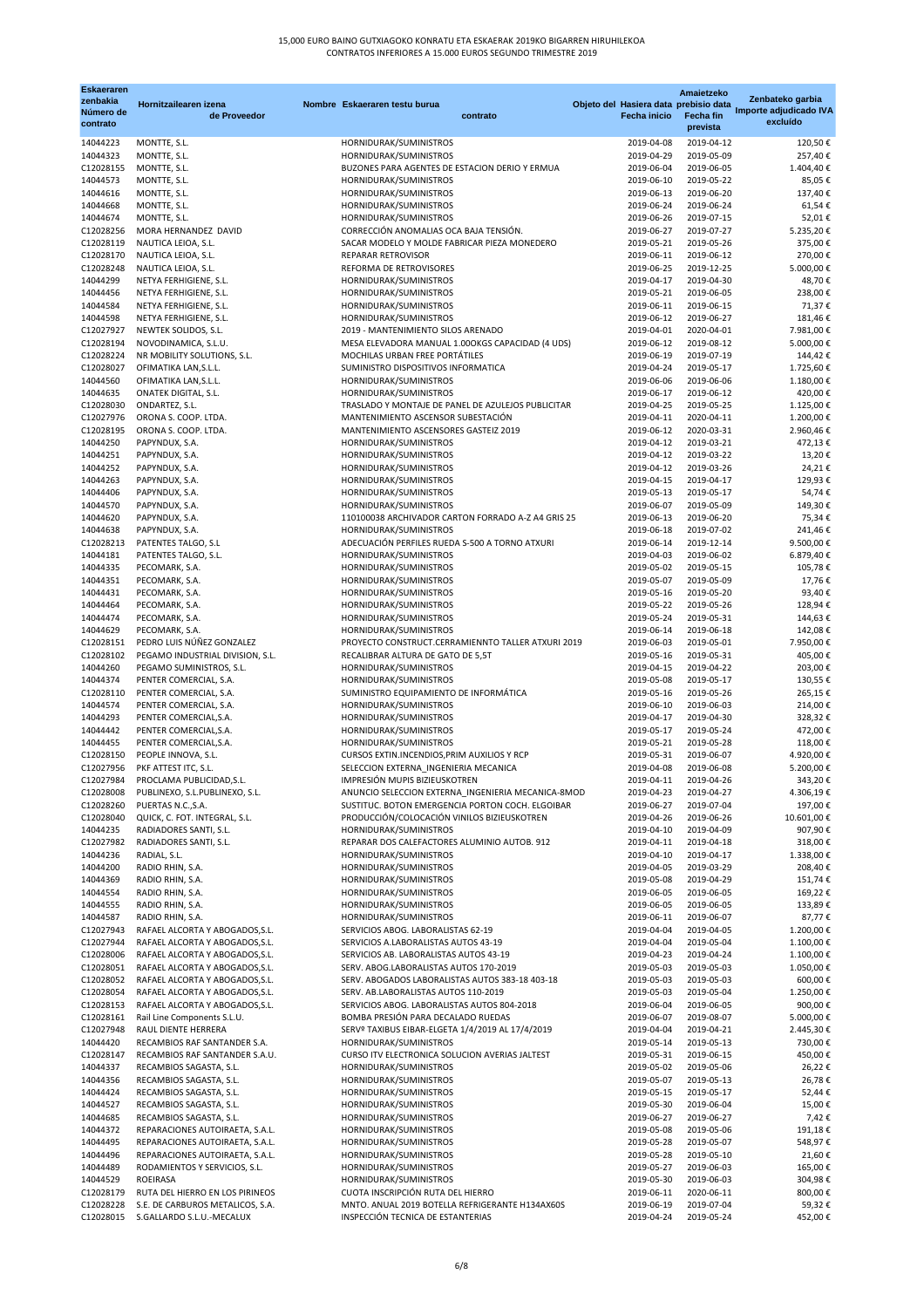## 15,000 EURO BAINO GUTXIAGOKO KONRATU ETA ESKAERAK 2019KO BIGARREN HIRUHILEKOA CONTRATOS INFERIORES A 15.000 EUROS SEGUNDO TRIMESTRE 2019

| <b>Eskaeraren</b><br>zenbakia |                                                                    |                                                                                          |          |                          | <b>Amaietzeko</b>                                         | Zenbateko garbia       |
|-------------------------------|--------------------------------------------------------------------|------------------------------------------------------------------------------------------|----------|--------------------------|-----------------------------------------------------------|------------------------|
| Número de                     | Hornitzailearen izena<br>de Proveedor                              | Nombre Eskaeraren testu burua                                                            | contrato | <b>Fecha inicio</b>      | Objeto del Hasiera data prebisio data<br><b>Fecha fin</b> | Importe adjudicado IVA |
| contrato                      |                                                                    |                                                                                          |          |                          | prevista                                                  | excluído               |
| 14044223                      | MONTTE, S.L.                                                       | HORNIDURAK/SUMINISTROS                                                                   |          | 2019-04-08               | 2019-04-12                                                | 120,50€                |
| 14044323<br>C12028155         | MONTTE, S.L.<br>MONTTE, S.L.                                       | HORNIDURAK/SUMINISTROS<br>BUZONES PARA AGENTES DE ESTACION DERIO Y ERMUA                 |          | 2019-04-29<br>2019-06-04 | 2019-05-09<br>2019-06-05                                  | 257,40€<br>1.404,40€   |
| 14044573                      | MONTTE, S.L.                                                       | HORNIDURAK/SUMINISTROS                                                                   |          | 2019-06-10               | 2019-05-22                                                | 85,05€                 |
| 14044616                      | MONTTE, S.L.                                                       | HORNIDURAK/SUMINISTROS                                                                   |          | 2019-06-13               | 2019-06-20                                                | 137,40€                |
| 14044668<br>14044674          | MONTTE, S.L.<br>MONTTE, S.L.                                       | HORNIDURAK/SUMINISTROS<br>HORNIDURAK/SUMINISTROS                                         |          | 2019-06-24<br>2019-06-26 | 2019-06-24<br>2019-07-15                                  | 61,54€<br>52,01€       |
| C12028256                     | MORA HERNANDEZ DAVID                                               | CORRECCIÓN ANOMALIAS OCA BAJA TENSIÓN.                                                   |          | 2019-06-27               | 2019-07-27                                                | 5.235,20€              |
| C12028119                     | NAUTICA LEIOA, S.L.                                                | SACAR MODELO Y MOLDE FABRICAR PIEZA MONEDERO                                             |          | 2019-05-21               | 2019-05-26                                                | 375,00€                |
| C12028170<br>C12028248        | NAUTICA LEIOA, S.L.<br>NAUTICA LEIOA, S.L.                         | REPARAR RETROVISOR<br>REFORMA DE RETROVISORES                                            |          | 2019-06-11<br>2019-06-25 | 2019-06-12<br>2019-12-25                                  | 270,00€<br>5.000,00€   |
| 14044299                      | NETYA FERHIGIENE, S.L.                                             | HORNIDURAK/SUMINISTROS                                                                   |          | 2019-04-17               | 2019-04-30                                                | 48,70€                 |
| 14044456                      | NETYA FERHIGIENE, S.L.                                             | HORNIDURAK/SUMINISTROS                                                                   |          | 2019-05-21               | 2019-06-05                                                | 238,00€                |
| 14044584<br>14044598          | NETYA FERHIGIENE, S.L.<br>NETYA FERHIGIENE, S.L.                   | HORNIDURAK/SUMINISTROS<br>HORNIDURAK/SUMINISTROS                                         |          | 2019-06-11<br>2019-06-12 | 2019-06-15<br>2019-06-27                                  | 71,37€<br>181,46€      |
| C12027927                     | NEWTEK SOLIDOS, S.L.                                               | 2019 - MANTENIMIENTO SILOS ARENADO                                                       |          | 2019-04-01               | 2020-04-01                                                | 7.981,00 €             |
| C12028194                     | NOVODINAMICA, S.L.U.                                               | MESA ELEVADORA MANUAL 1.000KGS CAPACIDAD (4 UDS)                                         |          | 2019-06-12               | 2019-08-12                                                | 5.000,00 €             |
| C12028224<br>C12028027        | NR MOBILITY SOLUTIONS, S.L.<br>OFIMATIKA LAN, S.L.L.               | MOCHILAS URBAN FREE PORTÁTILES<br>SUMINISTRO DISPOSITIVOS INFORMATICA                    |          | 2019-06-19<br>2019-04-24 | 2019-07-19<br>2019-05-17                                  | 144,42€<br>1.725,60€   |
| 14044560                      | OFIMATIKA LAN, S.L.L.                                              | HORNIDURAK/SUMINISTROS                                                                   |          | 2019-06-06               | 2019-06-06                                                | 1.180,00€              |
| 14044635                      | <b>ONATEK DIGITAL, S.L.</b>                                        | HORNIDURAK/SUMINISTROS                                                                   |          | 2019-06-17               | 2019-06-12                                                | 420,00€                |
| C12028030<br>C12027976        | ONDARTEZ, S.L.<br>ORONA S. COOP. LTDA.                             | TRASLADO Y MONTAJE DE PANEL DE AZULEJOS PUBLICITAR<br>MANTENIMIENTO ASCENSOR SUBESTACIÓN |          | 2019-04-25<br>2019-04-11 | 2019-05-25<br>2020-04-11                                  | 1.125,00€<br>1.200,00€ |
| C12028195                     | ORONA S. COOP. LTDA.                                               | MANTENIMIENTO ASCENSORES GASTEIZ 2019                                                    |          | 2019-06-12               | 2020-03-31                                                | 2.960,46€              |
| 14044250                      | PAPYNDUX, S.A.                                                     | HORNIDURAK/SUMINISTROS                                                                   |          | 2019-04-12               | 2019-03-21                                                | 472,13€                |
| 14044251<br>14044252          | PAPYNDUX, S.A.<br>PAPYNDUX, S.A.                                   | HORNIDURAK/SUMINISTROS<br>HORNIDURAK/SUMINISTROS                                         |          | 2019-04-12<br>2019-04-12 | 2019-03-22<br>2019-03-26                                  | 13,20€<br>24,21€       |
| 14044263                      | PAPYNDUX, S.A.                                                     | HORNIDURAK/SUMINISTROS                                                                   |          | 2019-04-15               | 2019-04-17                                                | 129,93€                |
| 14044406                      | PAPYNDUX, S.A.                                                     | HORNIDURAK/SUMINISTROS                                                                   |          | 2019-05-13               | 2019-05-17                                                | 54,74€                 |
| 14044570                      | PAPYNDUX, S.A.                                                     | HORNIDURAK/SUMINISTROS                                                                   |          | 2019-06-07               | 2019-05-09                                                | 149,30€                |
| 14044620<br>14044638          | PAPYNDUX, S.A.<br>PAPYNDUX, S.A.                                   | 110100038 ARCHIVADOR CARTON FORRADO A-Z A4 GRIS 25<br>HORNIDURAK/SUMINISTROS             |          | 2019-06-13<br>2019-06-18 | 2019-06-20<br>2019-07-02                                  | 75,34€<br>241,46€      |
| C12028213                     | PATENTES TALGO, S.L                                                | ADECUACIÓN PERFILES RUEDA S-500 A TORNO ATXURI                                           |          | 2019-06-14               | 2019-12-14                                                | 9.500,00€              |
| 14044181                      | PATENTES TALGO, S.L.                                               | HORNIDURAK/SUMINISTROS                                                                   |          | 2019-04-03               | 2019-06-02                                                | 6.879,40€              |
| 14044335<br>14044351          | PECOMARK, S.A.<br>PECOMARK, S.A.                                   | HORNIDURAK/SUMINISTROS<br>HORNIDURAK/SUMINISTROS                                         |          | 2019-05-02<br>2019-05-07 | 2019-05-15<br>2019-05-09                                  | 105,78€<br>17,76€      |
| 14044431                      | PECOMARK, S.A.                                                     | HORNIDURAK/SUMINISTROS                                                                   |          | 2019-05-16               | 2019-05-20                                                | 93,40€                 |
| 14044464                      | PECOMARK, S.A.                                                     | HORNIDURAK/SUMINISTROS                                                                   |          | 2019-05-22               | 2019-05-26                                                | 128,94€                |
| 14044474                      | PECOMARK, S.A.                                                     | HORNIDURAK/SUMINISTROS                                                                   |          | 2019-05-24<br>2019-06-14 | 2019-05-31<br>2019-06-18                                  | 144,63€                |
| 14044629<br>C12028151         | PECOMARK, S.A.<br>PEDRO LUIS NÚÑEZ GONZALEZ                        | HORNIDURAK/SUMINISTROS<br>PROYECTO CONSTRUCT.CERRAMIENNTO TALLER ATXURI 2019             |          | 2019-06-03               | 2019-05-01                                                | 142,08€<br>7.950,00€   |
| C12028102                     | PEGAMO INDUSTRIAL DIVISION, S.L.                                   | RECALIBRAR ALTURA DE GATO DE 5,5T                                                        |          | 2019-05-16               | 2019-05-31                                                | 405,00€                |
| 14044260                      | PEGAMO SUMINISTROS, S.L.                                           | HORNIDURAK/SUMINISTROS                                                                   |          | 2019-04-15               | 2019-04-22                                                | 203,00€                |
| 14044374<br>C12028110         | PENTER COMERCIAL, S.A.<br>PENTER COMERCIAL, S.A.                   | HORNIDURAK/SUMINISTROS<br>SUMINISTRO EQUIPAMIENTO DE INFORMÁTICA                         |          | 2019-05-08<br>2019-05-16 | 2019-05-17<br>2019-05-26                                  | 130,55€<br>265,15€     |
| 14044574                      | PENTER COMERCIAL, S.A.                                             | HORNIDURAK/SUMINISTROS                                                                   |          | 2019-06-10               | 2019-06-03                                                | 214,00€                |
| 14044293                      | PENTER COMERCIAL, S.A.                                             | HORNIDURAK/SUMINISTROS                                                                   |          | 2019-04-17               | 2019-04-30                                                | 328,32€                |
| 14044442<br>14044455          | PENTER COMERCIAL, S.A.<br>PENTER COMERCIAL, S.A.                   | HORNIDURAK/SUMINISTROS<br>HORNIDURAK/SUMINISTROS                                         |          | 2019-05-17<br>2019-05-21 | 2019-05-24<br>2019-05-28                                  | 472,00€<br>118,00€     |
| C12028150                     | PEOPLE INNOVA, S.L.                                                | CURSOS EXTIN.INCENDIOS, PRIM AUXILIOS Y RCP                                              |          | 2019-05-31               | 2019-06-07                                                | 4.920,00€              |
| C12027956                     | PKF ATTEST ITC, S.L.                                               | SELECCION EXTERNA_INGENIERIA MECANICA                                                    |          | 2019-04-08               | 2019-06-08                                                | 5.200,00€              |
| C12027984<br>C12028008        | PROCLAMA PUBLICIDAD, S.L.<br>PUBLINEXO, S.L.PUBLINEXO, S.L.        | IMPRESIÓN MUPIS BIZIEUSKOTREN<br>ANUNCIO SELECCION EXTERNA_INGENIERIA MECANICA-8MOD      |          | 2019-04-11<br>2019-04-23 | 2019-04-26<br>2019-04-27                                  | 343,20€<br>4.306,19€   |
| C12028260                     | PUERTAS N.C., S.A.                                                 | SUSTITUC. BOTON EMERGENCIA PORTON COCH. ELGOIBAR                                         |          | 2019-06-27               | 2019-07-04                                                | 197,00€                |
| C12028040                     | QUICK, C. FOT. INTEGRAL, S.L.                                      | PRODUCCIÓN/COLOCACIÓN VINILOS BIZIEUSKOTREN                                              |          | 2019-04-26               | 2019-06-26                                                | 10.601,00€             |
| 14044235                      | RADIADORES SANTI, S.L.                                             | HORNIDURAK/SUMINISTROS                                                                   |          | 2019-04-10               | 2019-04-09                                                | 907,90€                |
| C12027982<br>14044236         | RADIADORES SANTI, S.L.<br>RADIAL, S.L.                             | REPARAR DOS CALEFACTORES ALUMINIO AUTOB. 912<br>HORNIDURAK/SUMINISTROS                   |          | 2019-04-11<br>2019-04-10 | 2019-04-18<br>2019-04-17                                  | 318,00€<br>1.338,00€   |
| 14044200                      | RADIO RHIN, S.A.                                                   | HORNIDURAK/SUMINISTROS                                                                   |          | 2019-04-05               | 2019-03-29                                                | 208,40€                |
| 14044369                      | RADIO RHIN, S.A.                                                   | HORNIDURAK/SUMINISTROS                                                                   |          | 2019-05-08               | 2019-04-29                                                | 151,74€                |
| 14044554<br>14044555          | RADIO RHIN, S.A.<br>RADIO RHIN, S.A.                               | HORNIDURAK/SUMINISTROS<br>HORNIDURAK/SUMINISTROS                                         |          | 2019-06-05<br>2019-06-05 | 2019-06-05<br>2019-06-05                                  | 169,22€<br>133,89€     |
| 14044587                      | RADIO RHIN, S.A.                                                   | HORNIDURAK/SUMINISTROS                                                                   |          | 2019-06-11               | 2019-06-07                                                | 87,77€                 |
| C12027943                     | RAFAEL ALCORTA Y ABOGADOS, S.L.                                    | SERVICIOS ABOG. LABORALISTAS 62-19                                                       |          | 2019-04-04               | 2019-04-05                                                | 1.200,00€              |
| C12027944<br>C12028006        | RAFAEL ALCORTA Y ABOGADOS, S.L.<br>RAFAEL ALCORTA Y ABOGADOS, S.L. | SERVICIOS A.LABORALISTAS AUTOS 43-19<br>SERVICIOS AB. LABORALISTAS AUTOS 43-19           |          | 2019-04-04<br>2019-04-23 | 2019-05-04<br>2019-04-24                                  | 1.100,00€<br>1.100,00€ |
| C12028051                     | RAFAEL ALCORTA Y ABOGADOS, S.L.                                    | SERV. ABOG.LABORALISTAS AUTOS 170-2019                                                   |          | 2019-05-03               | 2019-05-03                                                | 1.050,00€              |
| C12028052                     | RAFAEL ALCORTA Y ABOGADOS, S.L.                                    | SERV. ABOGADOS LABORALISTAS AUTOS 383-18 403-18                                          |          | 2019-05-03               | 2019-05-03                                                | 600,00 €               |
| C12028054                     | RAFAEL ALCORTA Y ABOGADOS, S.L.                                    | SERV. AB.LABORALISTAS AUTOS 110-2019                                                     |          | 2019-05-03               | 2019-05-04<br>2019-06-05                                  | 1.250,00€              |
| C12028153<br>C12028161        | RAFAEL ALCORTA Y ABOGADOS, S.L.<br>Rail Line Components S.L.U.     | SERVICIOS ABOG. LABORALISTAS AUTOS 804-2018<br>BOMBA PRESIÓN PARA DECALADO RUEDAS        |          | 2019-06-04<br>2019-06-07 | 2019-08-07                                                | 900,00€<br>5.000,00 €  |
| C12027948                     | RAUL DIENTE HERRERA                                                | SERVº TAXIBUS EIBAR-ELGETA 1/4/2019 AL 17/4/2019                                         |          | 2019-04-04               | 2019-04-21                                                | 2.445,30 €             |
| 14044420                      | RECAMBIOS RAF SANTANDER S.A.                                       | HORNIDURAK/SUMINISTROS                                                                   |          | 2019-05-14               | 2019-05-13                                                | 730,00 €               |
| C12028147<br>14044337         | RECAMBIOS RAF SANTANDER S.A.U.<br>RECAMBIOS SAGASTA, S.L.          | CURSO ITV ELECTRONICA SOLUCION AVERIAS JALTEST<br>HORNIDURAK/SUMINISTROS                 |          | 2019-05-31<br>2019-05-02 | 2019-06-15<br>2019-05-06                                  | 450,00€<br>26,22€      |
| 14044356                      | RECAMBIOS SAGASTA, S.L.                                            | HORNIDURAK/SUMINISTROS                                                                   |          | 2019-05-07               | 2019-05-13                                                | 26,78€                 |
| 14044424                      | RECAMBIOS SAGASTA, S.L.                                            | HORNIDURAK/SUMINISTROS                                                                   |          | 2019-05-15               | 2019-05-17                                                | 52,44€                 |
| 14044527<br>14044685          | RECAMBIOS SAGASTA, S.L.                                            | HORNIDURAK/SUMINISTROS                                                                   |          | 2019-05-30<br>2019-06-27 | 2019-06-04<br>2019-06-27                                  | 15,00 €                |
| 14044372                      | RECAMBIOS SAGASTA, S.L.<br>REPARACIONES AUTOIRAETA, S.A.L.         | HORNIDURAK/SUMINISTROS<br>HORNIDURAK/SUMINISTROS                                         |          | 2019-05-08               | 2019-05-06                                                | 7,42€<br>191,18€       |
| 14044495                      | REPARACIONES AUTOIRAETA, S.A.L.                                    | HORNIDURAK/SUMINISTROS                                                                   |          | 2019-05-28               | 2019-05-07                                                | 548,97€                |
| 14044496                      | REPARACIONES AUTOIRAETA, S.A.L.                                    | HORNIDURAK/SUMINISTROS                                                                   |          | 2019-05-28               | 2019-05-10                                                | 21,60€                 |
| 14044489<br>14044529          | RODAMIENTOS Y SERVICIOS, S.L.<br>ROEIRASA                          | HORNIDURAK/SUMINISTROS<br>HORNIDURAK/SUMINISTROS                                         |          | 2019-05-27<br>2019-05-30 | 2019-06-03<br>2019-06-03                                  | 165,00 €<br>304,98€    |
| C12028179                     | RUTA DEL HIERRO EN LOS PIRINEOS                                    | CUOTA INSCRIPCIÓN RUTA DEL HIERRO                                                        |          | 2019-06-11               | 2020-06-11                                                | 800,00 €               |
| C12028228                     | S.E. DE CARBUROS METALICOS, S.A.                                   | MNTO. ANUAL 2019 BOTELLA REFRIGERANTE H134AX60S                                          |          | 2019-06-19               | 2019-07-04                                                | 59,32€                 |
| C12028015                     | S.GALLARDO S.L.U.-MECALUX                                          | INSPECCIÓN TECNICA DE ESTANTERIAS                                                        |          | 2019-04-24               | 2019-05-24                                                | 452,00 €               |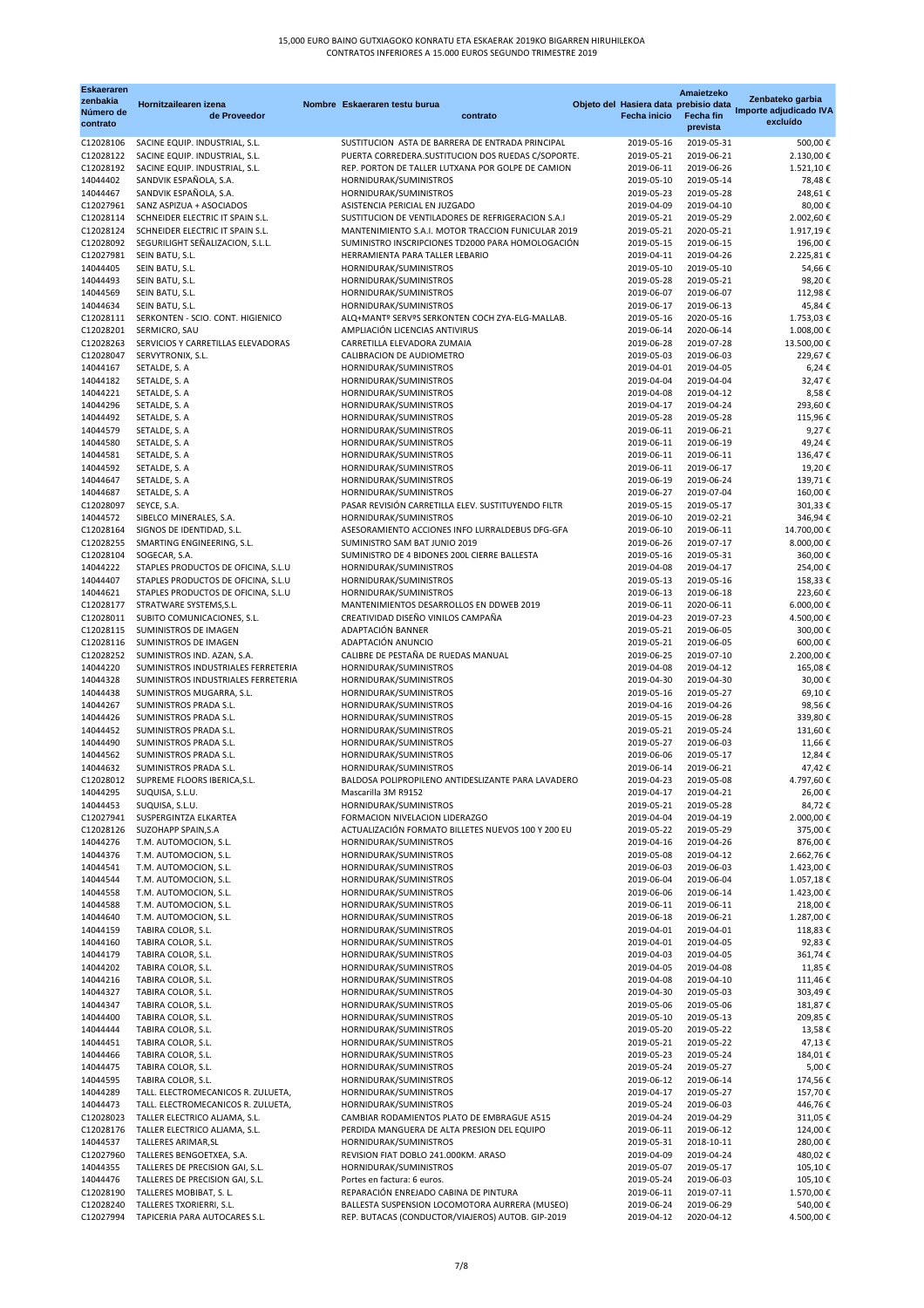| <b>Eskaeraren</b><br>zenbakia |                                                                            |                                                                                                         |                                                              | Amaietzeko               | Zenbateko garbia                   |
|-------------------------------|----------------------------------------------------------------------------|---------------------------------------------------------------------------------------------------------|--------------------------------------------------------------|--------------------------|------------------------------------|
| Número de                     | Hornitzailearen izena<br>de Proveedor                                      | Nombre Eskaeraren testu burua<br>contrato                                                               | Objeto del Hasiera data prebisio data<br><b>Fecha inicio</b> | <b>Fecha fin</b>         | Importe adjudicado IVA<br>excluído |
| contrato                      |                                                                            |                                                                                                         |                                                              | prevista                 |                                    |
| C12028106                     | SACINE EQUIP. INDUSTRIAL, S.L.                                             | SUSTITUCION ASTA DE BARRERA DE ENTRADA PRINCIPAL                                                        | 2019-05-16                                                   | 2019-05-31               | 500,00€                            |
| C12028122<br>C12028192        | SACINE EQUIP. INDUSTRIAL, S.L.<br>SACINE EQUIP. INDUSTRIAL, S.L.           | PUERTA CORREDERA.SUSTITUCION DOS RUEDAS C/SOPORTE.<br>REP. PORTON DE TALLER LUTXANA POR GOLPE DE CAMION | 2019-05-21<br>2019-06-11                                     | 2019-06-21<br>2019-06-26 | 2.130,00€<br>1.521,10€             |
| 14044402                      | SANDVIK ESPAÑOLA, S.A.                                                     | HORNIDURAK/SUMINISTROS                                                                                  | 2019-05-10                                                   | 2019-05-14               | 78,48€                             |
| 14044467                      | SANDVIK ESPAÑOLA, S.A.                                                     | HORNIDURAK/SUMINISTROS                                                                                  | 2019-05-23                                                   | 2019-05-28               | 248,61€                            |
| C12027961<br>C12028114        | SANZ ASPIZUA + ASOCIADOS<br>SCHNEIDER ELECTRIC IT SPAIN S.L.               | ASISTENCIA PERICIAL EN JUZGADO<br>SUSTITUCION DE VENTILADORES DE REFRIGERACION S.A.I                    | 2019-04-09<br>2019-05-21                                     | 2019-04-10<br>2019-05-29 | 80,00€<br>2.002,60€                |
| C12028124                     | SCHNEIDER ELECTRIC IT SPAIN S.L.                                           | MANTENIMIENTO S.A.I. MOTOR TRACCION FUNICULAR 2019                                                      | 2019-05-21                                                   | 2020-05-21               | 1.917,19€                          |
| C12028092                     | SEGURILIGHT SEÑALIZACION, S.L.L.                                           | SUMINISTRO INSCRIPCIONES TD2000 PARA HOMOLOGACIÓN                                                       | 2019-05-15                                                   | 2019-06-15               | 196,00€                            |
| C12027981                     | SEIN BATU, S.L.                                                            | HERRAMIENTA PARA TALLER LEBARIO                                                                         | 2019-04-11                                                   | 2019-04-26               | 2.225,81€                          |
| 14044405<br>14044493          | SEIN BATU, S.L.<br>SEIN BATU, S.L.                                         | HORNIDURAK/SUMINISTROS<br>HORNIDURAK/SUMINISTROS                                                        | 2019-05-10<br>2019-05-28                                     | 2019-05-10<br>2019-05-21 | 54,66€<br>98,20€                   |
| 14044569                      | SEIN BATU, S.L.                                                            | HORNIDURAK/SUMINISTROS                                                                                  | 2019-06-07                                                   | 2019-06-07               | 112,98€                            |
| 14044634                      | SEIN BATU, S.L.                                                            | HORNIDURAK/SUMINISTROS                                                                                  | 2019-06-17                                                   | 2019-06-13               | 45,84€                             |
| C12028111                     | SERKONTEN - SCIO. CONT. HIGIENICO                                          | ALQ+MANTº SERVºS SERKONTEN COCH ZYA-ELG-MALLAB.                                                         | 2019-05-16                                                   | 2020-05-16               | 1.753,03€                          |
| C12028201<br>C12028263        | SERMICRO, SAU<br>SERVICIOS Y CARRETILLAS ELEVADORAS                        | AMPLIACIÓN LICENCIAS ANTIVIRUS<br>CARRETILLA ELEVADORA ZUMAIA                                           | 2019-06-14<br>2019-06-28                                     | 2020-06-14<br>2019-07-28 | 1.008,00€<br>13.500,00€            |
| C12028047                     | SERVYTRONIX, S.L.                                                          | CALIBRACION DE AUDIOMETRO                                                                               | 2019-05-03                                                   | 2019-06-03               | 229,67€                            |
| 14044167                      | SETALDE, S. A                                                              | HORNIDURAK/SUMINISTROS                                                                                  | 2019-04-01                                                   | 2019-04-05               | $6,24 \in$                         |
| 14044182                      | SETALDE, S. A                                                              | HORNIDURAK/SUMINISTROS                                                                                  | 2019-04-04                                                   | 2019-04-04               | 32,47€                             |
| 14044221<br>14044296          | SETALDE, S. A<br>SETALDE, S. A                                             | HORNIDURAK/SUMINISTROS<br>HORNIDURAK/SUMINISTROS                                                        | 2019-04-08<br>2019-04-17                                     | 2019-04-12<br>2019-04-24 | 8,58€<br>293,60€                   |
| 14044492                      | SETALDE, S. A                                                              | HORNIDURAK/SUMINISTROS                                                                                  | 2019-05-28                                                   | 2019-05-28               | 115,96€                            |
| 14044579                      | SETALDE, S. A                                                              | HORNIDURAK/SUMINISTROS                                                                                  | 2019-06-11                                                   | 2019-06-21               | 9,27€                              |
| 14044580                      | SETALDE, S. A                                                              | HORNIDURAK/SUMINISTROS                                                                                  | 2019-06-11                                                   | 2019-06-19               | 49,24€                             |
| 14044581<br>14044592          | SETALDE, S. A<br>SETALDE, S. A                                             | HORNIDURAK/SUMINISTROS<br>HORNIDURAK/SUMINISTROS                                                        | 2019-06-11<br>2019-06-11                                     | 2019-06-11<br>2019-06-17 | 136,47€<br>19,20€                  |
| 14044647                      | SETALDE, S. A                                                              | HORNIDURAK/SUMINISTROS                                                                                  | 2019-06-19                                                   | 2019-06-24               | 139,71€                            |
| 14044687                      | SETALDE, S. A                                                              | HORNIDURAK/SUMINISTROS                                                                                  | 2019-06-27                                                   | 2019-07-04               | 160,00€                            |
| C12028097                     | SEYCE, S.A.                                                                | PASAR REVISIÓN CARRETILLA ELEV. SUSTITUYENDO FILTR                                                      | 2019-05-15                                                   | 2019-05-17               | 301,33 €                           |
| 14044572<br>C12028164         | SIBELCO MINERALES, S.A.<br>SIGNOS DE IDENTIDAD, S.L.                       | HORNIDURAK/SUMINISTROS<br>ASESORAMIENTO ACCIONES INFO LURRALDEBUS DFG-GFA                               | 2019-06-10<br>2019-06-10                                     | 2019-02-21<br>2019-06-11 | 346,94€<br>14.700,00€              |
| C12028255                     | SMARTING ENGINEERING, S.L.                                                 | SUMINISTRO SAM BAT JUNIO 2019                                                                           | 2019-06-26                                                   | 2019-07-17               | 8.000,00 €                         |
| C12028104                     | SOGECAR, S.A.                                                              | SUMINISTRO DE 4 BIDONES 200L CIERRE BALLESTA                                                            | 2019-05-16                                                   | 2019-05-31               | 360,00€                            |
| 14044222                      | STAPLES PRODUCTOS DE OFICINA, S.L.U                                        | HORNIDURAK/SUMINISTROS                                                                                  | 2019-04-08                                                   | 2019-04-17               | 254,00€                            |
| 14044407<br>14044621          | STAPLES PRODUCTOS DE OFICINA, S.L.U<br>STAPLES PRODUCTOS DE OFICINA, S.L.U | HORNIDURAK/SUMINISTROS<br>HORNIDURAK/SUMINISTROS                                                        | 2019-05-13<br>2019-06-13                                     | 2019-05-16<br>2019-06-18 | 158,33€<br>223,60€                 |
| C12028177                     | STRATWARE SYSTEMS, S.L.                                                    | MANTENIMIENTOS DESARROLLOS EN DDWEB 2019                                                                | 2019-06-11                                                   | 2020-06-11               | 6.000,00 €                         |
| C12028011                     | SUBITO COMUNICACIONES, S.L.                                                | CREATIVIDAD DISEÑO VINILOS CAMPAÑA                                                                      | 2019-04-23                                                   | 2019-07-23               | 4.500,00 €                         |
| C12028115                     | SUMINISTROS DE IMAGEN                                                      | ADAPTACIÓN BANNER                                                                                       | 2019-05-21                                                   | 2019-06-05               | 300,00€                            |
| C12028116<br>C12028252        | SUMINISTROS DE IMAGEN<br>SUMINISTROS IND. AZAN, S.A.                       | ADAPTACIÓN ANUNCIO<br>CALIBRE DE PESTAÑA DE RUEDAS MANUAL                                               | 2019-05-21<br>2019-06-25                                     | 2019-06-05<br>2019-07-10 | 600,00 €<br>2.200,00€              |
| 14044220                      | SUMINISTROS INDUSTRIALES FERRETERIA                                        | HORNIDURAK/SUMINISTROS                                                                                  | 2019-04-08                                                   | 2019-04-12               | 165,08€                            |
| 14044328                      | SUMINISTROS INDUSTRIALES FERRETERIA                                        | HORNIDURAK/SUMINISTROS                                                                                  | 2019-04-30                                                   | 2019-04-30               | 30,00€                             |
| 14044438                      | SUMINISTROS MUGARRA, S.L.                                                  | HORNIDURAK/SUMINISTROS                                                                                  | 2019-05-16                                                   | 2019-05-27               | 69,10€                             |
| 14044267<br>14044426          | SUMINISTROS PRADA S.L.<br>SUMINISTROS PRADA S.L.                           | HORNIDURAK/SUMINISTROS<br>HORNIDURAK/SUMINISTROS                                                        | 2019-04-16<br>2019-05-15                                     | 2019-04-26<br>2019-06-28 | 98,56€<br>339,80€                  |
| 14044452                      | SUMINISTROS PRADA S.L.                                                     | HORNIDURAK/SUMINISTROS                                                                                  | 2019-05-21                                                   | 2019-05-24               | 131,60€                            |
| 14044490                      | SUMINISTROS PRADA S.L.                                                     | HORNIDURAK/SUMINISTROS                                                                                  | 2019-05-27                                                   | 2019-06-03               | 11,66€                             |
| 14044562                      | SUMINISTROS PRADA S.L.<br>SUMINISTROS PRADA S.L.                           | HORNIDURAK/SUMINISTROS                                                                                  | 2019-06-06                                                   | 2019-05-17               | 12,84€                             |
| 14044632<br>C12028012         | SUPREME FLOORS IBERICA, S.L.                                               | HORNIDURAK/SUMINISTROS<br>BALDOSA POLIPROPILENO ANTIDESLIZANTE PARA LAVADERO                            | 2019-06-14<br>2019-04-23                                     | 2019-06-21<br>2019-05-08 | 47,42€<br>4.797,60€                |
| 14044295                      | SUQUISA, S.L.U.                                                            | Mascarilla 3M R9152                                                                                     | 2019-04-17                                                   | 2019-04-21               | 26,00€                             |
| 14044453                      | SUQUISA, S.L.U.                                                            | HORNIDURAK/SUMINISTROS                                                                                  | 2019-05-21                                                   | 2019-05-28               | 84,72€                             |
| C12027941                     | SUSPERGINTZA ELKARTEA                                                      | FORMACION NIVELACION LIDERAZGO<br>ACTUALIZACIÓN FORMATO BILLETES NUEVOS 100 Y 200 EU                    | 2019-04-04                                                   | 2019-04-19               | 2.000,00 €                         |
| C12028126<br>14044276         | SUZOHAPP SPAIN, S.A<br>T.M. AUTOMOCION, S.L.                               | HORNIDURAK/SUMINISTROS                                                                                  | 2019-05-22<br>2019-04-16                                     | 2019-05-29<br>2019-04-26 | 375,00€<br>876,00€                 |
| 14044376                      | T.M. AUTOMOCION, S.L.                                                      | HORNIDURAK/SUMINISTROS                                                                                  | 2019-05-08                                                   | 2019-04-12               | 2.662,76€                          |
| 14044541                      | T.M. AUTOMOCION, S.L.                                                      | HORNIDURAK/SUMINISTROS                                                                                  |                                                              | 2019-06-03 2019-06-03    | 1.423,00 €                         |
| 14044544<br>14044558          | T.M. AUTOMOCION, S.L.<br>T.M. AUTOMOCION, S.L.                             | HORNIDURAK/SUMINISTROS<br>HORNIDURAK/SUMINISTROS                                                        | 2019-06-04<br>2019-06-06                                     | 2019-06-04<br>2019-06-14 | 1.057,18€<br>1.423,00 €            |
| 14044588                      | T.M. AUTOMOCION, S.L.                                                      | HORNIDURAK/SUMINISTROS                                                                                  | 2019-06-11                                                   | 2019-06-11               | 218,00€                            |
| 14044640                      | T.M. AUTOMOCION, S.L.                                                      | HORNIDURAK/SUMINISTROS                                                                                  | 2019-06-18                                                   | 2019-06-21               | 1.287,00€                          |
| 14044159                      | TABIRA COLOR, S.L.                                                         | HORNIDURAK/SUMINISTROS                                                                                  | 2019-04-01                                                   | 2019-04-01               | 118,83€                            |
| 14044160<br>14044179          | TABIRA COLOR, S.L.<br>TABIRA COLOR, S.L.                                   | HORNIDURAK/SUMINISTROS<br>HORNIDURAK/SUMINISTROS                                                        | 2019-04-01<br>2019-04-03                                     | 2019-04-05<br>2019-04-05 | 92,83€<br>361,74€                  |
| 14044202                      | TABIRA COLOR, S.L.                                                         | HORNIDURAK/SUMINISTROS                                                                                  | 2019-04-05                                                   | 2019-04-08               | 11,85€                             |
| 14044216                      | TABIRA COLOR, S.L.                                                         | HORNIDURAK/SUMINISTROS                                                                                  | 2019-04-08                                                   | 2019-04-10               | 111,46€                            |
| 14044327                      | TABIRA COLOR, S.L.                                                         | HORNIDURAK/SUMINISTROS                                                                                  | 2019-04-30                                                   | 2019-05-03               | 303,49€                            |
| 14044347<br>14044400          | TABIRA COLOR, S.L.<br>TABIRA COLOR, S.L.                                   | HORNIDURAK/SUMINISTROS<br>HORNIDURAK/SUMINISTROS                                                        | 2019-05-06<br>2019-05-10                                     | 2019-05-06<br>2019-05-13 | 181,87€<br>209,85€                 |
| 14044444                      | TABIRA COLOR, S.L.                                                         | HORNIDURAK/SUMINISTROS                                                                                  | 2019-05-20                                                   | 2019-05-22               | 13,58€                             |
| 14044451                      | TABIRA COLOR, S.L.                                                         | HORNIDURAK/SUMINISTROS                                                                                  | 2019-05-21                                                   | 2019-05-22               | 47,13€                             |
| 14044466                      | TABIRA COLOR, S.L.                                                         | HORNIDURAK/SUMINISTROS                                                                                  | 2019-05-23                                                   | 2019-05-24               | 184,01€                            |
| 14044475                      | TABIRA COLOR, S.L.                                                         | HORNIDURAK/SUMINISTROS                                                                                  | 2019-05-24                                                   | 2019-05-27<br>2019-06-14 | 5,00€                              |
| 14044595<br>14044289          | TABIRA COLOR, S.L.<br>TALL. ELECTROMECANICOS R. ZULUETA,                   | HORNIDURAK/SUMINISTROS<br>HORNIDURAK/SUMINISTROS                                                        | 2019-06-12<br>2019-04-17                                     | 2019-05-27               | 174,56€<br>157,70€                 |
| 14044473                      | TALL. ELECTROMECANICOS R. ZULUETA,                                         | HORNIDURAK/SUMINISTROS                                                                                  | 2019-05-24                                                   | 2019-06-03               | 446,76€                            |
| C12028023                     | TALLER ELECTRICO ALJAMA, S.L.                                              | CAMBIAR RODAMIENTOS PLATO DE EMBRAGUE A515                                                              | 2019-04-24                                                   | 2019-04-29               | 311,05€                            |
| C12028176<br>14044537         | TALLER ELECTRICO ALJAMA, S.L.                                              | PERDIDA MANGUERA DE ALTA PRESION DEL EQUIPO                                                             | 2019-06-11<br>2019-05-31                                     | 2019-06-12<br>2018-10-11 | 124,00€                            |
| C12027960                     | TALLERES ARIMAR, SL<br>TALLERES BENGOETXEA, S.A.                           | HORNIDURAK/SUMINISTROS<br>REVISION FIAT DOBLO 241.000KM. ARASO                                          | 2019-04-09                                                   | 2019-04-24               | 280,00€<br>480,02€                 |
| 14044355                      | TALLERES DE PRECISION GAI, S.L.                                            | HORNIDURAK/SUMINISTROS                                                                                  | 2019-05-07                                                   | 2019-05-17               | 105,10€                            |
| 14044476                      | TALLERES DE PRECISION GAI, S.L.                                            | Portes en factura: 6 euros.                                                                             | 2019-05-24                                                   | 2019-06-03               | 105,10€                            |
| C12028190<br>C12028240        | TALLERES MOBIBAT, S. L.<br>TALLERES TXORIERRI, S.L.                        | REPARACIÓN ENREJADO CABINA DE PINTURA<br>BALLESTA SUSPENSION LOCOMOTORA AURRERA (MUSEO)                 | 2019-06-11<br>2019-06-24                                     | 2019-07-11<br>2019-06-29 | 1.570,00€<br>540,00€               |
| C12027994                     | TAPICERIA PARA AUTOCARES S.L.                                              | REP. BUTACAS (CONDUCTOR/VIAJEROS) AUTOB. GIP-2019                                                       | 2019-04-12                                                   | 2020-04-12               | 4.500,00€                          |